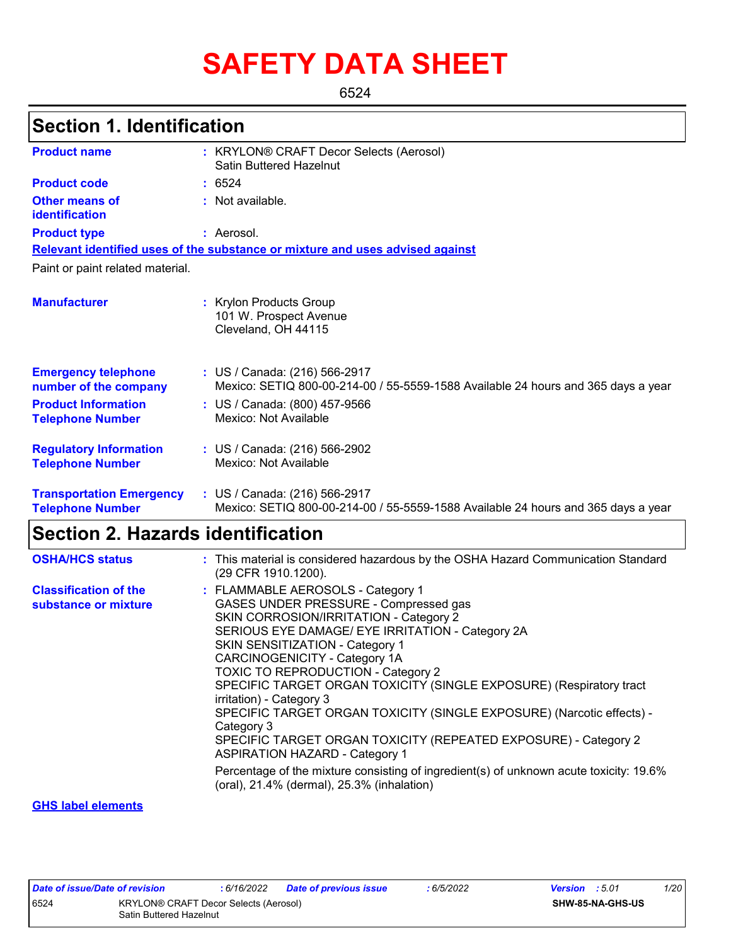# **SAFETY DATA SHEET**

6524

### **Section 1. Identification**

| <b>Product name</b>                                        | : KRYLON® CRAFT Decor Selects (Aerosol)<br><b>Satin Buttered Hazelnut</b>                                          |
|------------------------------------------------------------|--------------------------------------------------------------------------------------------------------------------|
| <b>Product code</b>                                        | : 6524                                                                                                             |
| Other means of<br>identification                           | : Not available.                                                                                                   |
| <b>Product type</b>                                        | : Aerosol.                                                                                                         |
|                                                            | Relevant identified uses of the substance or mixture and uses advised against                                      |
| Paint or paint related material.                           |                                                                                                                    |
| <b>Manufacturer</b>                                        | : Krylon Products Group<br>101 W. Prospect Avenue<br>Cleveland, OH 44115                                           |
| <b>Emergency telephone</b><br>number of the company        | : US / Canada: (216) 566-2917<br>Mexico: SETIQ 800-00-214-00 / 55-5559-1588 Available 24 hours and 365 days a year |
| <b>Product Information</b><br><b>Telephone Number</b>      | : US / Canada: (800) 457-9566<br>Mexico: Not Available                                                             |
| <b>Regulatory Information</b><br><b>Telephone Number</b>   | : US / Canada: (216) 566-2902<br>Mexico: Not Available                                                             |
| <b>Transportation Emergency</b><br><b>Telephone Number</b> | : US / Canada: (216) 566-2917<br>Mexico: SETIQ 800-00-214-00 / 55-5559-1588 Available 24 hours and 365 days a year |

### **Section 2. Hazards identification**

| <b>OSHA/HCS status</b>                               | : This material is considered hazardous by the OSHA Hazard Communication Standard<br>(29 CFR 1910.1200).                                                                                                                                                                                                                                                                                                                                                                                                                                                                                                                                                                                                                                |
|------------------------------------------------------|-----------------------------------------------------------------------------------------------------------------------------------------------------------------------------------------------------------------------------------------------------------------------------------------------------------------------------------------------------------------------------------------------------------------------------------------------------------------------------------------------------------------------------------------------------------------------------------------------------------------------------------------------------------------------------------------------------------------------------------------|
| <b>Classification of the</b><br>substance or mixture | : FLAMMABLE AEROSOLS - Category 1<br>GASES UNDER PRESSURE - Compressed gas<br>SKIN CORROSION/IRRITATION - Category 2<br>SERIOUS EYE DAMAGE/ EYE IRRITATION - Category 2A<br>SKIN SENSITIZATION - Category 1<br>CARCINOGENICITY - Category 1A<br><b>TOXIC TO REPRODUCTION - Category 2</b><br>SPECIFIC TARGET ORGAN TOXICITY (SINGLE EXPOSURE) (Respiratory tract<br>irritation) - Category 3<br>SPECIFIC TARGET ORGAN TOXICITY (SINGLE EXPOSURE) (Narcotic effects) -<br>Category 3<br>SPECIFIC TARGET ORGAN TOXICITY (REPEATED EXPOSURE) - Category 2<br><b>ASPIRATION HAZARD - Category 1</b><br>Percentage of the mixture consisting of ingredient(s) of unknown acute toxicity: 19.6%<br>(oral), 21.4% (dermal), 25.3% (inhalation) |
|                                                      |                                                                                                                                                                                                                                                                                                                                                                                                                                                                                                                                                                                                                                                                                                                                         |

#### **GHS label elements**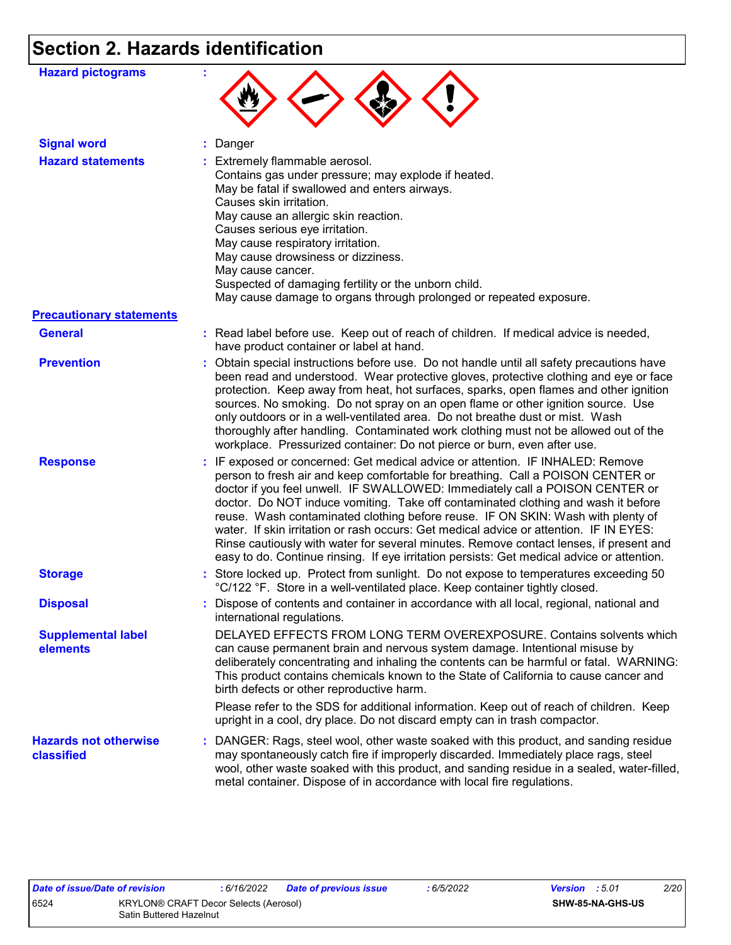## **Section 2. Hazards identification**

| <b>Hazard pictograms</b>                   |                                                                                                                                                                                                                                                                                                                                                                                                                                                                                                                                                                                                                                                                                                             |
|--------------------------------------------|-------------------------------------------------------------------------------------------------------------------------------------------------------------------------------------------------------------------------------------------------------------------------------------------------------------------------------------------------------------------------------------------------------------------------------------------------------------------------------------------------------------------------------------------------------------------------------------------------------------------------------------------------------------------------------------------------------------|
| <b>Signal word</b>                         | : Danger                                                                                                                                                                                                                                                                                                                                                                                                                                                                                                                                                                                                                                                                                                    |
| <b>Hazard statements</b>                   | : Extremely flammable aerosol.<br>Contains gas under pressure; may explode if heated.<br>May be fatal if swallowed and enters airways.<br>Causes skin irritation.<br>May cause an allergic skin reaction.<br>Causes serious eye irritation.<br>May cause respiratory irritation.<br>May cause drowsiness or dizziness.<br>May cause cancer.<br>Suspected of damaging fertility or the unborn child.<br>May cause damage to organs through prolonged or repeated exposure.                                                                                                                                                                                                                                   |
| <b>Precautionary statements</b>            |                                                                                                                                                                                                                                                                                                                                                                                                                                                                                                                                                                                                                                                                                                             |
| <b>General</b>                             | : Read label before use. Keep out of reach of children. If medical advice is needed,<br>have product container or label at hand.                                                                                                                                                                                                                                                                                                                                                                                                                                                                                                                                                                            |
| <b>Prevention</b>                          | : Obtain special instructions before use. Do not handle until all safety precautions have<br>been read and understood. Wear protective gloves, protective clothing and eye or face<br>protection. Keep away from heat, hot surfaces, sparks, open flames and other ignition<br>sources. No smoking. Do not spray on an open flame or other ignition source. Use<br>only outdoors or in a well-ventilated area. Do not breathe dust or mist. Wash<br>thoroughly after handling. Contaminated work clothing must not be allowed out of the<br>workplace. Pressurized container: Do not pierce or burn, even after use.                                                                                        |
| <b>Response</b>                            | : IF exposed or concerned: Get medical advice or attention. IF INHALED: Remove<br>person to fresh air and keep comfortable for breathing. Call a POISON CENTER or<br>doctor if you feel unwell. IF SWALLOWED: Immediately call a POISON CENTER or<br>doctor. Do NOT induce vomiting. Take off contaminated clothing and wash it before<br>reuse. Wash contaminated clothing before reuse. IF ON SKIN: Wash with plenty of<br>water. If skin irritation or rash occurs: Get medical advice or attention. IF IN EYES:<br>Rinse cautiously with water for several minutes. Remove contact lenses, if present and<br>easy to do. Continue rinsing. If eye irritation persists: Get medical advice or attention. |
| <b>Storage</b>                             | : Store locked up. Protect from sunlight. Do not expose to temperatures exceeding 50<br>°C/122 °F. Store in a well-ventilated place. Keep container tightly closed.                                                                                                                                                                                                                                                                                                                                                                                                                                                                                                                                         |
| <b>Disposal</b>                            | : Dispose of contents and container in accordance with all local, regional, national and<br>international regulations.                                                                                                                                                                                                                                                                                                                                                                                                                                                                                                                                                                                      |
| <b>Supplemental label</b><br>elements      | DELAYED EFFECTS FROM LONG TERM OVEREXPOSURE. Contains solvents which<br>can cause permanent brain and nervous system damage. Intentional misuse by<br>deliberately concentrating and inhaling the contents can be harmful or fatal. WARNING:<br>This product contains chemicals known to the State of California to cause cancer and<br>birth defects or other reproductive harm.<br>Please refer to the SDS for additional information. Keep out of reach of children. Keep<br>upright in a cool, dry place. Do not discard empty can in trash compactor.                                                                                                                                                  |
| <b>Hazards not otherwise</b><br>classified | : DANGER: Rags, steel wool, other waste soaked with this product, and sanding residue<br>may spontaneously catch fire if improperly discarded. Immediately place rags, steel<br>wool, other waste soaked with this product, and sanding residue in a sealed, water-filled,<br>metal container. Dispose of in accordance with local fire regulations.                                                                                                                                                                                                                                                                                                                                                        |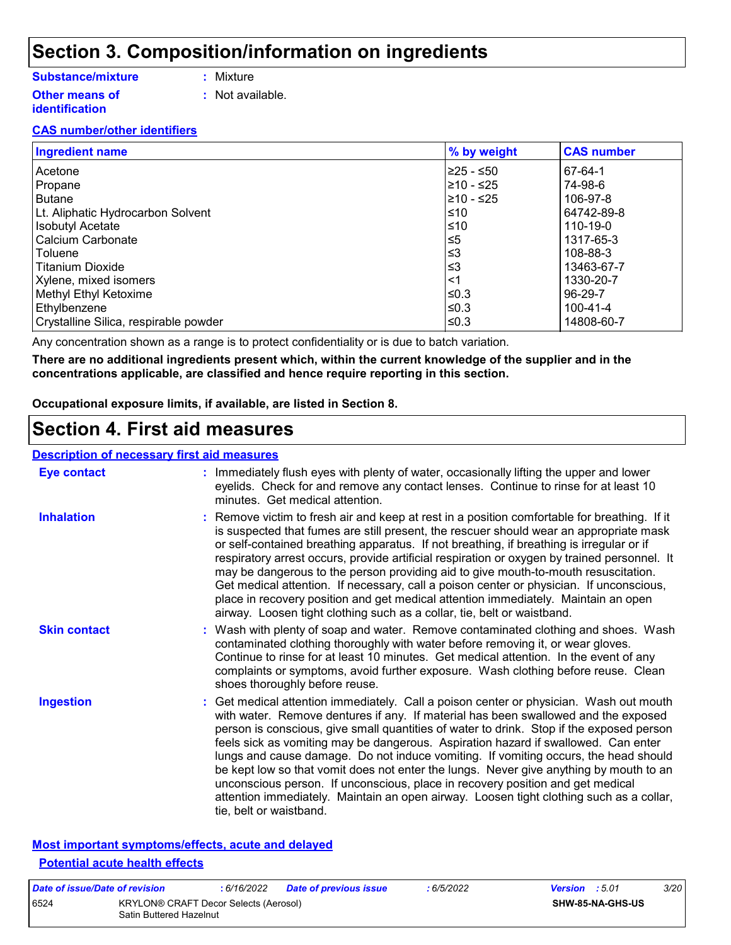### **Section 3. Composition/information on ingredients**

#### **Substance/mixture**

- **:** Mixture
- **Other means of identification**
- 
- **:** Not available.

#### **CAS number/other identifiers**

| <b>Ingredient name</b>                | % by weight | <b>CAS number</b> |
|---------------------------------------|-------------|-------------------|
| Acetone                               | l≥25 - ≤50  | 67-64-1           |
| Propane                               | l≥10 - ≤25  | 74-98-6           |
| Butane                                | l≥10 - ≤25  | 106-97-8          |
| Lt. Aliphatic Hydrocarbon Solvent     | ≤10         | 64742-89-8        |
| <b>Isobutyl Acetate</b>               | ≤10         | 110-19-0          |
| Calcium Carbonate                     | ≤5          | 1317-65-3         |
| l Toluene                             | ≤3          | 108-88-3          |
| l Titanium Dioxide                    | ≤3          | 13463-67-7        |
| Xylene, mixed isomers                 | <1          | 1330-20-7         |
| Methyl Ethyl Ketoxime                 | ≤0.3        | 96-29-7           |
| Ethylbenzene                          | ≤0.3        | 100-41-4          |
| Crystalline Silica, respirable powder | l≤0.3       | 14808-60-7        |

Any concentration shown as a range is to protect confidentiality or is due to batch variation.

**There are no additional ingredients present which, within the current knowledge of the supplier and in the concentrations applicable, are classified and hence require reporting in this section.**

**Occupational exposure limits, if available, are listed in Section 8.**

### **Section 4. First aid measures**

#### **Description of necessary first aid measures**

| <b>Eye contact</b>  | : Immediately flush eyes with plenty of water, occasionally lifting the upper and lower<br>eyelids. Check for and remove any contact lenses. Continue to rinse for at least 10<br>minutes. Get medical attention.                                                                                                                                                                                                                                                                                                                                                                                                                                                                                                                                       |
|---------------------|---------------------------------------------------------------------------------------------------------------------------------------------------------------------------------------------------------------------------------------------------------------------------------------------------------------------------------------------------------------------------------------------------------------------------------------------------------------------------------------------------------------------------------------------------------------------------------------------------------------------------------------------------------------------------------------------------------------------------------------------------------|
| <b>Inhalation</b>   | : Remove victim to fresh air and keep at rest in a position comfortable for breathing. If it<br>is suspected that fumes are still present, the rescuer should wear an appropriate mask<br>or self-contained breathing apparatus. If not breathing, if breathing is irregular or if<br>respiratory arrest occurs, provide artificial respiration or oxygen by trained personnel. It<br>may be dangerous to the person providing aid to give mouth-to-mouth resuscitation.<br>Get medical attention. If necessary, call a poison center or physician. If unconscious,<br>place in recovery position and get medical attention immediately. Maintain an open<br>airway. Loosen tight clothing such as a collar, tie, belt or waistband.                    |
| <b>Skin contact</b> | : Wash with plenty of soap and water. Remove contaminated clothing and shoes. Wash<br>contaminated clothing thoroughly with water before removing it, or wear gloves.<br>Continue to rinse for at least 10 minutes. Get medical attention. In the event of any<br>complaints or symptoms, avoid further exposure. Wash clothing before reuse. Clean<br>shoes thoroughly before reuse.                                                                                                                                                                                                                                                                                                                                                                   |
| <b>Ingestion</b>    | : Get medical attention immediately. Call a poison center or physician. Wash out mouth<br>with water. Remove dentures if any. If material has been swallowed and the exposed<br>person is conscious, give small quantities of water to drink. Stop if the exposed person<br>feels sick as vomiting may be dangerous. Aspiration hazard if swallowed. Can enter<br>lungs and cause damage. Do not induce vomiting. If vomiting occurs, the head should<br>be kept low so that vomit does not enter the lungs. Never give anything by mouth to an<br>unconscious person. If unconscious, place in recovery position and get medical<br>attention immediately. Maintain an open airway. Loosen tight clothing such as a collar,<br>tie, belt or waistband. |

#### **Most important symptoms/effects, acute and delayed Potential acute health effects**

| Date of issue/Date of revision |                                                                  | : 6/16/2022 | Date of previous issue | : 6/5/2022 | <b>Version</b> : 5.01 |                         | <i>3/20</i> |
|--------------------------------|------------------------------------------------------------------|-------------|------------------------|------------|-----------------------|-------------------------|-------------|
| 6524                           | KRYLON® CRAFT Decor Selects (Aerosol)<br>Satin Buttered Hazelnut |             |                        |            |                       | <b>SHW-85-NA-GHS-US</b> |             |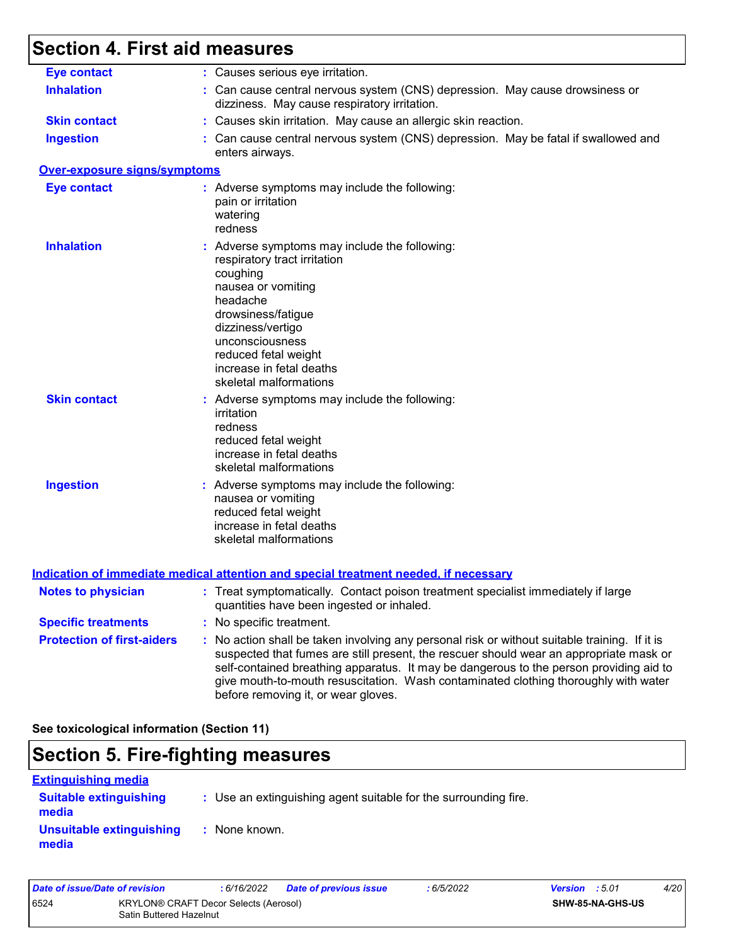## **Section 4. First aid measures**

| <b>Eye contact</b>                | : Causes serious eye irritation.                                                                                                                                                                                                                                                                                                                                                                                |
|-----------------------------------|-----------------------------------------------------------------------------------------------------------------------------------------------------------------------------------------------------------------------------------------------------------------------------------------------------------------------------------------------------------------------------------------------------------------|
| <b>Inhalation</b>                 | : Can cause central nervous system (CNS) depression. May cause drowsiness or<br>dizziness. May cause respiratory irritation.                                                                                                                                                                                                                                                                                    |
| <b>Skin contact</b>               | : Causes skin irritation. May cause an allergic skin reaction.                                                                                                                                                                                                                                                                                                                                                  |
| <b>Ingestion</b>                  | : Can cause central nervous system (CNS) depression. May be fatal if swallowed and<br>enters airways.                                                                                                                                                                                                                                                                                                           |
| Over-exposure signs/symptoms      |                                                                                                                                                                                                                                                                                                                                                                                                                 |
| <b>Eye contact</b>                | : Adverse symptoms may include the following:<br>pain or irritation<br>watering<br>redness                                                                                                                                                                                                                                                                                                                      |
| <b>Inhalation</b>                 | : Adverse symptoms may include the following:<br>respiratory tract irritation<br>coughing<br>nausea or vomiting<br>headache<br>drowsiness/fatigue<br>dizziness/vertigo<br>unconsciousness<br>reduced fetal weight<br>increase in fetal deaths<br>skeletal malformations                                                                                                                                         |
| <b>Skin contact</b>               | : Adverse symptoms may include the following:<br>irritation<br>redness<br>reduced fetal weight<br>increase in fetal deaths<br>skeletal malformations                                                                                                                                                                                                                                                            |
| <b>Ingestion</b>                  | : Adverse symptoms may include the following:<br>nausea or vomiting<br>reduced fetal weight<br>increase in fetal deaths<br>skeletal malformations                                                                                                                                                                                                                                                               |
|                                   | <u>Indication of immediate medical attention and special treatment needed, if necessary</u>                                                                                                                                                                                                                                                                                                                     |
| <b>Notes to physician</b>         | : Treat symptomatically. Contact poison treatment specialist immediately if large<br>quantities have been ingested or inhaled.                                                                                                                                                                                                                                                                                  |
| <b>Specific treatments</b>        | : No specific treatment.                                                                                                                                                                                                                                                                                                                                                                                        |
| <b>Protection of first-aiders</b> | : No action shall be taken involving any personal risk or without suitable training. If it is<br>suspected that fumes are still present, the rescuer should wear an appropriate mask or<br>self-contained breathing apparatus. It may be dangerous to the person providing aid to<br>give mouth-to-mouth resuscitation. Wash contaminated clothing thoroughly with water<br>before removing it, or wear gloves. |

**See toxicological information (Section 11)**

### **Section 5. Fire-fighting measures**

| <b>Extinguishing media</b>             |                                                                 |
|----------------------------------------|-----------------------------------------------------------------|
| <b>Suitable extinguishing</b><br>media | : Use an extinguishing agent suitable for the surrounding fire. |
| Unsuitable extinguishing<br>media      | : None known.                                                   |

| Date of issue/Date of revision |                                                                         | : 6/16/2022 | Date of previous issue | : 6/5/2022 | <b>Version</b> : 5.01 |                  | 4/20 |
|--------------------------------|-------------------------------------------------------------------------|-------------|------------------------|------------|-----------------------|------------------|------|
| 6524                           | <b>KRYLON® CRAFT Decor Selects (Aerosol)</b><br>Satin Buttered Hazelnut |             |                        |            |                       | SHW-85-NA-GHS-US |      |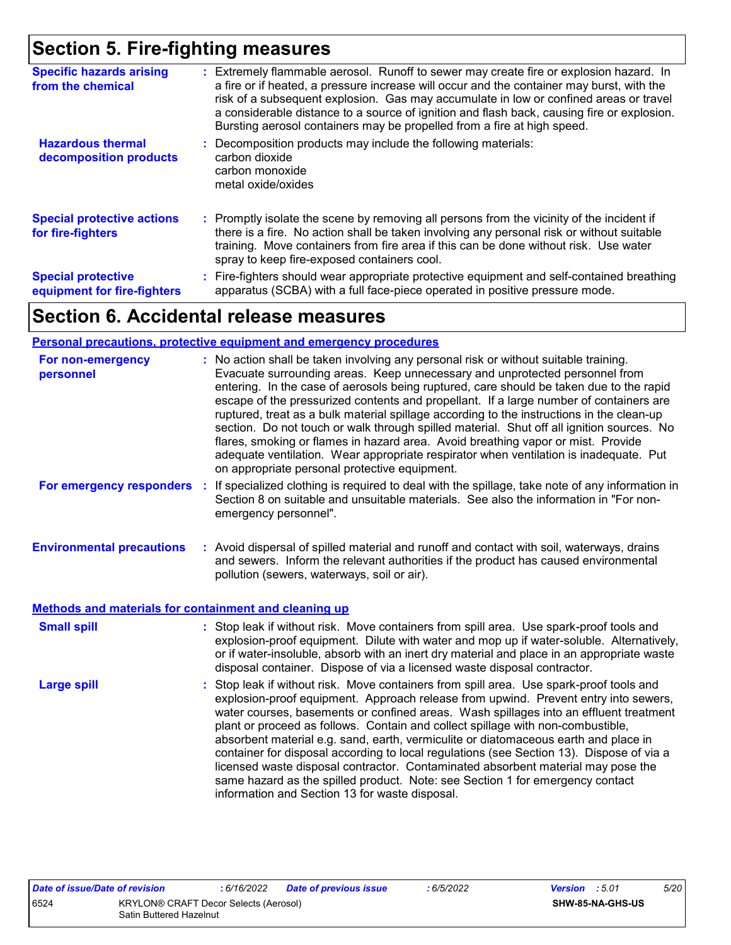### **Section 5. Fire-fighting measures**

| <b>Specific hazards arising</b><br>from the chemical     | : Extremely flammable aerosol. Runoff to sewer may create fire or explosion hazard. In<br>a fire or if heated, a pressure increase will occur and the container may burst, with the<br>risk of a subsequent explosion. Gas may accumulate in low or confined areas or travel<br>a considerable distance to a source of ignition and flash back, causing fire or explosion.<br>Bursting aerosol containers may be propelled from a fire at high speed. |
|----------------------------------------------------------|-------------------------------------------------------------------------------------------------------------------------------------------------------------------------------------------------------------------------------------------------------------------------------------------------------------------------------------------------------------------------------------------------------------------------------------------------------|
| <b>Hazardous thermal</b><br>decomposition products       | Decomposition products may include the following materials:<br>carbon dioxide<br>carbon monoxide<br>metal oxide/oxides                                                                                                                                                                                                                                                                                                                                |
| <b>Special protective actions</b><br>for fire-fighters   | : Promptly isolate the scene by removing all persons from the vicinity of the incident if<br>there is a fire. No action shall be taken involving any personal risk or without suitable<br>training. Move containers from fire area if this can be done without risk. Use water<br>spray to keep fire-exposed containers cool.                                                                                                                         |
| <b>Special protective</b><br>equipment for fire-fighters | : Fire-fighters should wear appropriate protective equipment and self-contained breathing<br>apparatus (SCBA) with a full face-piece operated in positive pressure mode.                                                                                                                                                                                                                                                                              |

### **Section 6. Accidental release measures**

#### **Personal precautions, protective equipment and emergency procedures**

| For non-emergency<br>personnel                        | : No action shall be taken involving any personal risk or without suitable training.<br>Evacuate surrounding areas. Keep unnecessary and unprotected personnel from<br>entering. In the case of aerosols being ruptured, care should be taken due to the rapid<br>escape of the pressurized contents and propellant. If a large number of containers are<br>ruptured, treat as a bulk material spillage according to the instructions in the clean-up<br>section. Do not touch or walk through spilled material. Shut off all ignition sources. No<br>flares, smoking or flames in hazard area. Avoid breathing vapor or mist. Provide<br>adequate ventilation. Wear appropriate respirator when ventilation is inadequate. Put<br>on appropriate personal protective equipment. |
|-------------------------------------------------------|----------------------------------------------------------------------------------------------------------------------------------------------------------------------------------------------------------------------------------------------------------------------------------------------------------------------------------------------------------------------------------------------------------------------------------------------------------------------------------------------------------------------------------------------------------------------------------------------------------------------------------------------------------------------------------------------------------------------------------------------------------------------------------|
| For emergency responders                              | If specialized clothing is required to deal with the spillage, take note of any information in<br>Section 8 on suitable and unsuitable materials. See also the information in "For non-<br>emergency personnel".                                                                                                                                                                                                                                                                                                                                                                                                                                                                                                                                                                 |
| <b>Environmental precautions</b>                      | : Avoid dispersal of spilled material and runoff and contact with soil, waterways, drains<br>and sewers. Inform the relevant authorities if the product has caused environmental<br>pollution (sewers, waterways, soil or air).                                                                                                                                                                                                                                                                                                                                                                                                                                                                                                                                                  |
| Methods and materials for containment and cleaning up |                                                                                                                                                                                                                                                                                                                                                                                                                                                                                                                                                                                                                                                                                                                                                                                  |
| <b>Small spill</b>                                    | : Stop leak if without risk. Move containers from spill area. Use spark-proof tools and<br>explosion-proof equipment. Dilute with water and mop up if water-soluble. Alternatively,<br>or if water-insoluble, absorb with an inert dry material and place in an appropriate waste<br>disposal container. Dispose of via a licensed waste disposal contractor.                                                                                                                                                                                                                                                                                                                                                                                                                    |
| <b>Large spill</b>                                    | : Stop leak if without risk. Move containers from spill area. Use spark-proof tools and<br>explosion-proof equipment. Approach release from upwind. Prevent entry into sewers,<br>water courses, basements or confined areas. Wash spillages into an effluent treatment<br>plant or proceed as follows. Contain and collect spillage with non-combustible,<br>absorbent material e.g. sand, earth, vermiculite or diatomaceous earth and place in<br>container for disposal according to local regulations (see Section 13). Dispose of via a<br>licensed waste disposal contractor. Contaminated absorbent material may pose the<br>same hazard as the spilled product. Note: see Section 1 for emergency contact<br>information and Section 13 for waste disposal.             |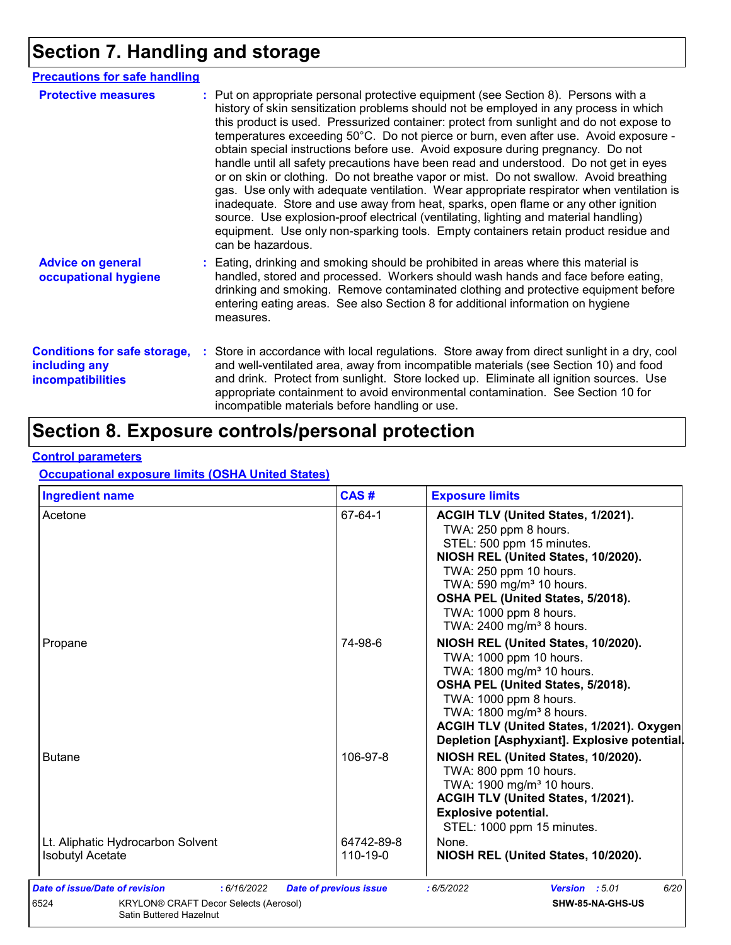## **Section 7. Handling and storage**

| <b>Precautions for safe handling</b>                                             |                                                                                                                                                                                                                                                                                                                                                                                                                                                                                                                                                                                                                                                                                                                                                                                                                                                                                                                                                                                                                           |
|----------------------------------------------------------------------------------|---------------------------------------------------------------------------------------------------------------------------------------------------------------------------------------------------------------------------------------------------------------------------------------------------------------------------------------------------------------------------------------------------------------------------------------------------------------------------------------------------------------------------------------------------------------------------------------------------------------------------------------------------------------------------------------------------------------------------------------------------------------------------------------------------------------------------------------------------------------------------------------------------------------------------------------------------------------------------------------------------------------------------|
| <b>Protective measures</b>                                                       | : Put on appropriate personal protective equipment (see Section 8). Persons with a<br>history of skin sensitization problems should not be employed in any process in which<br>this product is used. Pressurized container: protect from sunlight and do not expose to<br>temperatures exceeding 50°C. Do not pierce or burn, even after use. Avoid exposure -<br>obtain special instructions before use. Avoid exposure during pregnancy. Do not<br>handle until all safety precautions have been read and understood. Do not get in eyes<br>or on skin or clothing. Do not breathe vapor or mist. Do not swallow. Avoid breathing<br>gas. Use only with adequate ventilation. Wear appropriate respirator when ventilation is<br>inadequate. Store and use away from heat, sparks, open flame or any other ignition<br>source. Use explosion-proof electrical (ventilating, lighting and material handling)<br>equipment. Use only non-sparking tools. Empty containers retain product residue and<br>can be hazardous. |
| <b>Advice on general</b><br>occupational hygiene                                 | : Eating, drinking and smoking should be prohibited in areas where this material is<br>handled, stored and processed. Workers should wash hands and face before eating,<br>drinking and smoking. Remove contaminated clothing and protective equipment before<br>entering eating areas. See also Section 8 for additional information on hygiene<br>measures.                                                                                                                                                                                                                                                                                                                                                                                                                                                                                                                                                                                                                                                             |
| <b>Conditions for safe storage,</b><br>including any<br><i>incompatibilities</i> | : Store in accordance with local regulations. Store away from direct sunlight in a dry, cool<br>and well-ventilated area, away from incompatible materials (see Section 10) and food<br>and drink. Protect from sunlight. Store locked up. Eliminate all ignition sources. Use<br>appropriate containment to avoid environmental contamination. See Section 10 for<br>incompatible materials before handling or use.                                                                                                                                                                                                                                                                                                                                                                                                                                                                                                                                                                                                      |

## **Section 8. Exposure controls/personal protection**

#### **Control parameters**

#### **Occupational exposure limits (OSHA United States)**

| Acetone                                                      | 67-64-1                | <b>ACGIH TLV (United States, 1/2021).</b><br>TWA: 250 ppm 8 hours.<br>STEL: 500 ppm 15 minutes.<br>NIOSH REL (United States, 10/2020).<br>TWA: 250 ppm 10 hours.                                                                                                                                            |
|--------------------------------------------------------------|------------------------|-------------------------------------------------------------------------------------------------------------------------------------------------------------------------------------------------------------------------------------------------------------------------------------------------------------|
|                                                              |                        | TWA: 590 mg/m <sup>3</sup> 10 hours.<br>OSHA PEL (United States, 5/2018).<br>TWA: 1000 ppm 8 hours.<br>TWA: 2400 mg/m <sup>3</sup> 8 hours.                                                                                                                                                                 |
| Propane                                                      | 74-98-6                | NIOSH REL (United States, 10/2020).<br>TWA: 1000 ppm 10 hours.<br>TWA: 1800 mg/m <sup>3</sup> 10 hours.<br>OSHA PEL (United States, 5/2018).<br>TWA: 1000 ppm 8 hours.<br>TWA: 1800 mg/m <sup>3</sup> 8 hours.<br>ACGIH TLV (United States, 1/2021). Oxygen<br>Depletion [Asphyxiant]. Explosive potential. |
| <b>Butane</b>                                                | 106-97-8               | NIOSH REL (United States, 10/2020).<br>TWA: 800 ppm 10 hours.<br>TWA: 1900 mg/m <sup>3</sup> 10 hours.<br>ACGIH TLV (United States, 1/2021).<br><b>Explosive potential.</b><br>STEL: 1000 ppm 15 minutes.                                                                                                   |
| Lt. Aliphatic Hydrocarbon Solvent<br><b>Isobutyl Acetate</b> | 64742-89-8<br>110-19-0 | None.<br>NIOSH REL (United States, 10/2020).                                                                                                                                                                                                                                                                |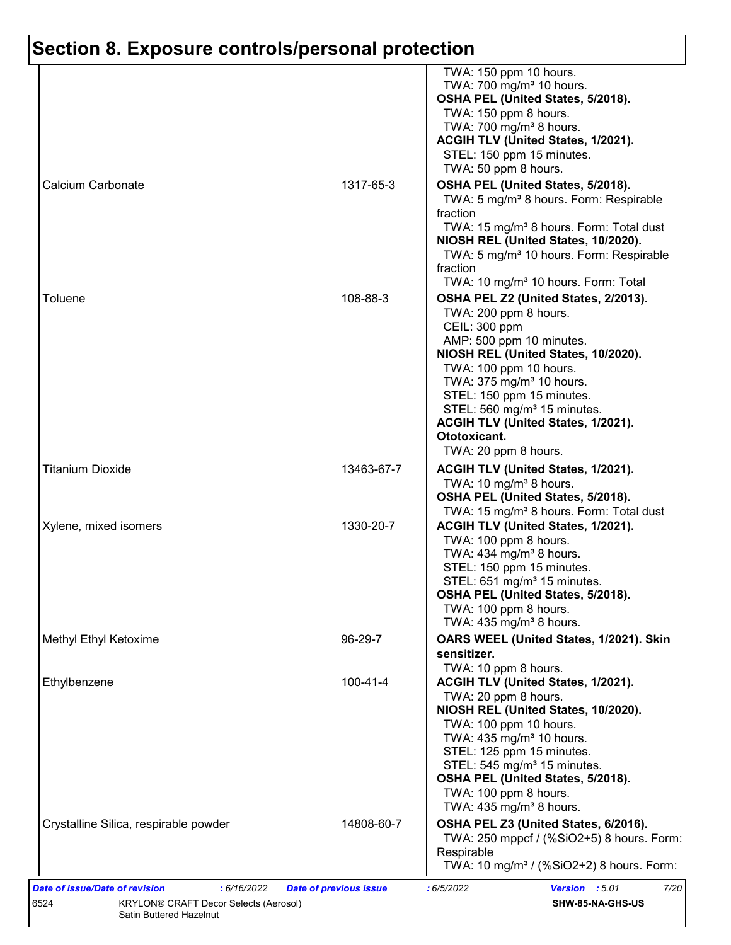|                                       |                | TWA: 150 ppm 10 hours.<br>TWA: 700 mg/m <sup>3</sup> 10 hours.<br>OSHA PEL (United States, 5/2018).<br>TWA: 150 ppm 8 hours.<br>TWA: 700 mg/m <sup>3</sup> 8 hours.                                                                                                                                                                                                       |
|---------------------------------------|----------------|---------------------------------------------------------------------------------------------------------------------------------------------------------------------------------------------------------------------------------------------------------------------------------------------------------------------------------------------------------------------------|
|                                       |                | ACGIH TLV (United States, 1/2021).<br>STEL: 150 ppm 15 minutes.<br>TWA: 50 ppm 8 hours.                                                                                                                                                                                                                                                                                   |
| Calcium Carbonate                     | 1317-65-3      | OSHA PEL (United States, 5/2018).<br>TWA: 5 mg/m <sup>3</sup> 8 hours. Form: Respirable<br>fraction                                                                                                                                                                                                                                                                       |
|                                       |                | TWA: 15 mg/m <sup>3</sup> 8 hours. Form: Total dust<br>NIOSH REL (United States, 10/2020).<br>TWA: 5 mg/m <sup>3</sup> 10 hours. Form: Respirable<br>fraction<br>TWA: 10 mg/m <sup>3</sup> 10 hours. Form: Total                                                                                                                                                          |
| Toluene                               | 108-88-3       | OSHA PEL Z2 (United States, 2/2013).<br>TWA: 200 ppm 8 hours.<br>CEIL: 300 ppm<br>AMP: 500 ppm 10 minutes.<br>NIOSH REL (United States, 10/2020).<br>TWA: 100 ppm 10 hours.<br>TWA: 375 mg/m <sup>3</sup> 10 hours.<br>STEL: 150 ppm 15 minutes.<br>STEL: 560 mg/m <sup>3</sup> 15 minutes.<br>ACGIH TLV (United States, 1/2021).<br>Ototoxicant.<br>TWA: 20 ppm 8 hours. |
| <b>Titanium Dioxide</b>               | 13463-67-7     | <b>ACGIH TLV (United States, 1/2021).</b><br>TWA: 10 mg/m <sup>3</sup> 8 hours.<br>OSHA PEL (United States, 5/2018).<br>TWA: 15 mg/m <sup>3</sup> 8 hours. Form: Total dust                                                                                                                                                                                               |
| Xylene, mixed isomers                 | 1330-20-7      | ACGIH TLV (United States, 1/2021).<br>TWA: 100 ppm 8 hours.<br>TWA: 434 mg/m <sup>3</sup> 8 hours.<br>STEL: 150 ppm 15 minutes.<br>STEL: 651 mg/m <sup>3</sup> 15 minutes.<br>OSHA PEL (United States, 5/2018).<br>TWA: 100 ppm 8 hours.<br>TWA: $435 \text{ mg/m}^3$ 8 hours.                                                                                            |
| Methyl Ethyl Ketoxime                 | 96-29-7        | OARS WEEL (United States, 1/2021). Skin<br>sensitizer.<br>TWA: 10 ppm 8 hours.                                                                                                                                                                                                                                                                                            |
| Ethylbenzene                          | $100 - 41 - 4$ | ACGIH TLV (United States, 1/2021).<br>TWA: 20 ppm 8 hours.<br>NIOSH REL (United States, 10/2020).<br>TWA: 100 ppm 10 hours.<br>TWA: $435 \text{ mg/m}^3$ 10 hours.<br>STEL: 125 ppm 15 minutes.<br>STEL: 545 mg/m <sup>3</sup> 15 minutes.<br>OSHA PEL (United States, 5/2018).<br>TWA: 100 ppm 8 hours.<br>TWA: $435 \text{ mg/m}^3$ 8 hours.                            |
| Crystalline Silica, respirable powder | 14808-60-7     | OSHA PEL Z3 (United States, 6/2016).<br>TWA: 250 mppcf / (%SiO2+5) 8 hours. Form:<br>Respirable<br>TWA: 10 mg/m <sup>3</sup> / (%SiO2+2) 8 hours. Form:                                                                                                                                                                                                                   |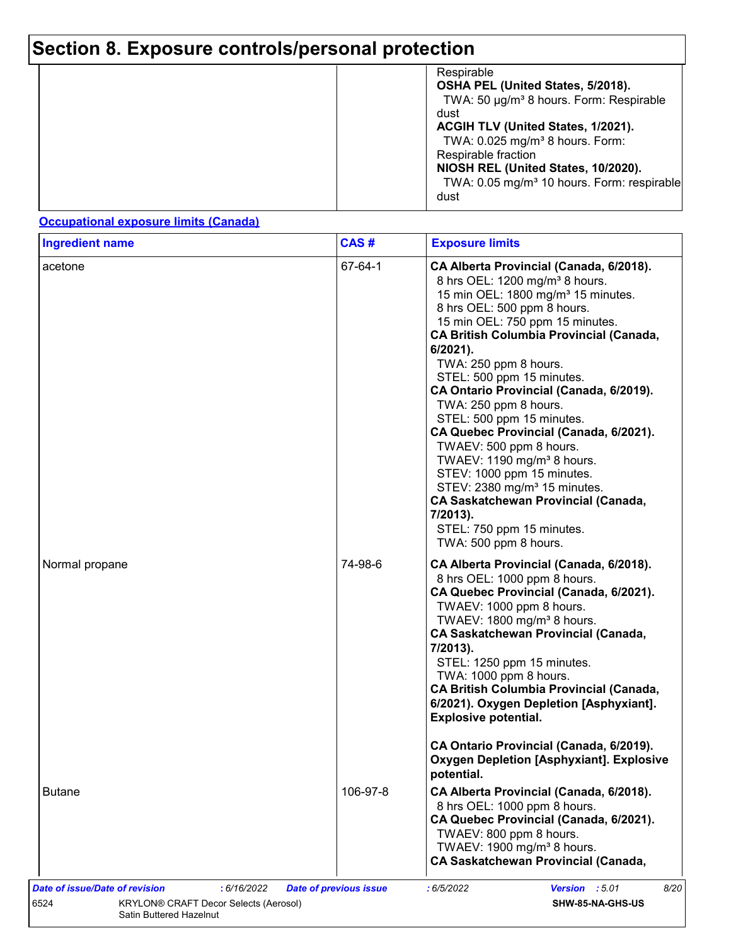|  | Respirable<br>OSHA PEL (United States, 5/2018).<br>TWA: 50 µg/m <sup>3</sup> 8 hours. Form: Respirable<br>dust<br>ACGIH TLV (United States, 1/2021).<br>TWA: $0.025$ mg/m <sup>3</sup> 8 hours. Form:<br>Respirable fraction<br>NIOSH REL (United States, 10/2020).<br>TWA: 0.05 mg/m <sup>3</sup> 10 hours. Form: respirable<br>dust |
|--|---------------------------------------------------------------------------------------------------------------------------------------------------------------------------------------------------------------------------------------------------------------------------------------------------------------------------------------|
|--|---------------------------------------------------------------------------------------------------------------------------------------------------------------------------------------------------------------------------------------------------------------------------------------------------------------------------------------|

#### **Occupational exposure limits (Canada)**

| <b>Ingredient name</b> | CAS#     | <b>Exposure limits</b>                                                                                                                                                                                                                                                                                                                                                                                                                                                                                                                                                                                                                                                                                                                  |
|------------------------|----------|-----------------------------------------------------------------------------------------------------------------------------------------------------------------------------------------------------------------------------------------------------------------------------------------------------------------------------------------------------------------------------------------------------------------------------------------------------------------------------------------------------------------------------------------------------------------------------------------------------------------------------------------------------------------------------------------------------------------------------------------|
| acetone                | 67-64-1  | CA Alberta Provincial (Canada, 6/2018).<br>8 hrs OEL: 1200 mg/m <sup>3</sup> 8 hours.<br>15 min OEL: 1800 mg/m <sup>3</sup> 15 minutes.<br>8 hrs OEL: 500 ppm 8 hours.<br>15 min OEL: 750 ppm 15 minutes.<br><b>CA British Columbia Provincial (Canada,</b><br>6/2021).<br>TWA: 250 ppm 8 hours.<br>STEL: 500 ppm 15 minutes.<br>CA Ontario Provincial (Canada, 6/2019).<br>TWA: 250 ppm 8 hours.<br>STEL: 500 ppm 15 minutes.<br>CA Quebec Provincial (Canada, 6/2021).<br>TWAEV: 500 ppm 8 hours.<br>TWAEV: 1190 mg/m <sup>3</sup> 8 hours.<br>STEV: 1000 ppm 15 minutes.<br>STEV: 2380 mg/m <sup>3</sup> 15 minutes.<br><b>CA Saskatchewan Provincial (Canada,</b><br>7/2013).<br>STEL: 750 ppm 15 minutes.<br>TWA: 500 ppm 8 hours. |
| Normal propane         | 74-98-6  | CA Alberta Provincial (Canada, 6/2018).<br>8 hrs OEL: 1000 ppm 8 hours.<br>CA Quebec Provincial (Canada, 6/2021).<br>TWAEV: 1000 ppm 8 hours.<br>TWAEV: 1800 mg/m <sup>3</sup> 8 hours.<br><b>CA Saskatchewan Provincial (Canada,</b><br>7/2013).<br>STEL: 1250 ppm 15 minutes.<br>TWA: 1000 ppm 8 hours.<br><b>CA British Columbia Provincial (Canada,</b><br>6/2021). Oxygen Depletion [Asphyxiant].<br><b>Explosive potential.</b>                                                                                                                                                                                                                                                                                                   |
|                        |          | CA Ontario Provincial (Canada, 6/2019).<br><b>Oxygen Depletion [Asphyxiant]. Explosive</b><br>potential.                                                                                                                                                                                                                                                                                                                                                                                                                                                                                                                                                                                                                                |
| <b>Butane</b>          | 106-97-8 | CA Alberta Provincial (Canada, 6/2018).<br>8 hrs OEL: 1000 ppm 8 hours.<br>CA Quebec Provincial (Canada, 6/2021).<br>TWAEV: 800 ppm 8 hours.<br>TWAEV: 1900 mg/m <sup>3</sup> 8 hours.                                                                                                                                                                                                                                                                                                                                                                                                                                                                                                                                                  |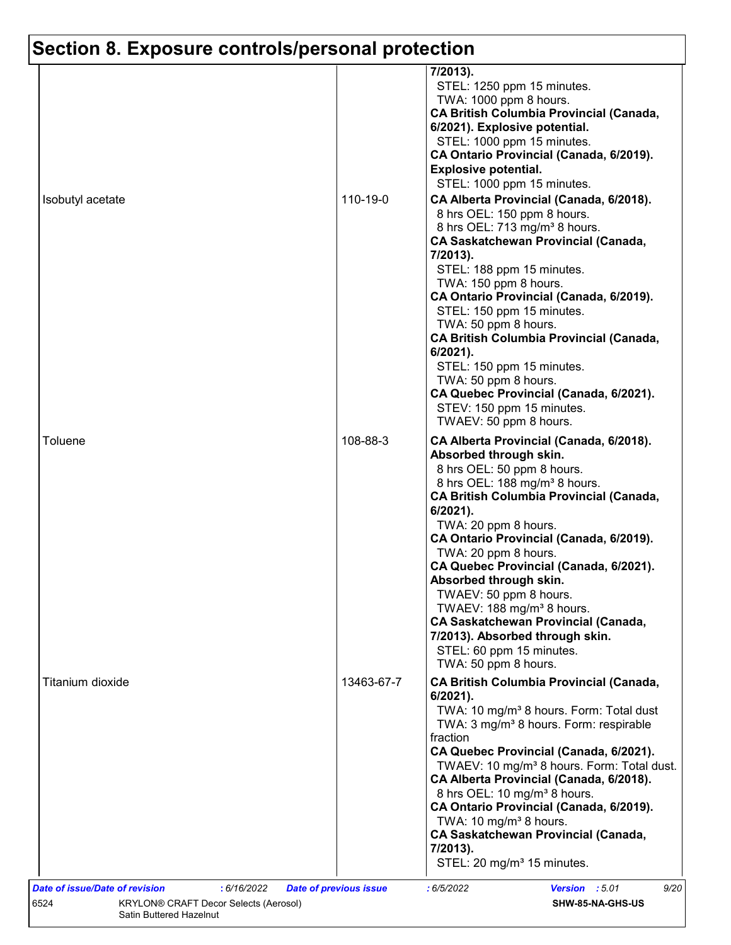| Isobutyl acetate                                     | 110-19-0   | 7/2013).<br>STEL: 1250 ppm 15 minutes.<br>TWA: 1000 ppm 8 hours.<br><b>CA British Columbia Provincial (Canada,</b><br>6/2021). Explosive potential.<br>STEL: 1000 ppm 15 minutes.<br>CA Ontario Provincial (Canada, 6/2019).<br><b>Explosive potential.</b><br>STEL: 1000 ppm 15 minutes.<br>CA Alberta Provincial (Canada, 6/2018).<br>8 hrs OEL: 150 ppm 8 hours.<br>8 hrs OEL: 713 mg/m <sup>3</sup> 8 hours.<br><b>CA Saskatchewan Provincial (Canada,</b><br>7/2013).<br>STEL: 188 ppm 15 minutes.<br>TWA: 150 ppm 8 hours.<br>CA Ontario Provincial (Canada, 6/2019).<br>STEL: 150 ppm 15 minutes.<br>TWA: 50 ppm 8 hours.<br><b>CA British Columbia Provincial (Canada,</b> |
|------------------------------------------------------|------------|------------------------------------------------------------------------------------------------------------------------------------------------------------------------------------------------------------------------------------------------------------------------------------------------------------------------------------------------------------------------------------------------------------------------------------------------------------------------------------------------------------------------------------------------------------------------------------------------------------------------------------------------------------------------------------|
| Toluene                                              | 108-88-3   | $6/2021$ ).<br>STEL: 150 ppm 15 minutes.<br>TWA: 50 ppm 8 hours.<br>CA Quebec Provincial (Canada, 6/2021).<br>STEV: 150 ppm 15 minutes.<br>TWAEV: 50 ppm 8 hours.<br>CA Alberta Provincial (Canada, 6/2018).<br>Absorbed through skin.<br>8 hrs OEL: 50 ppm 8 hours.<br>8 hrs OEL: 188 mg/m <sup>3</sup> 8 hours.<br><b>CA British Columbia Provincial (Canada,</b><br>$6/2021$ ).<br>TWA: 20 ppm 8 hours.<br>CA Ontario Provincial (Canada, 6/2019).<br>TWA: 20 ppm 8 hours.<br>CA Quebec Provincial (Canada, 6/2021).<br>Absorbed through skin.<br>TWAEV: 50 ppm 8 hours.<br>TWAEV: 188 mg/m <sup>3</sup> 8 hours.                                                               |
| Titanium dioxide                                     | 13463-67-7 | <b>CA Saskatchewan Provincial (Canada,</b><br>7/2013). Absorbed through skin.<br>STEL: 60 ppm 15 minutes.<br>TWA: 50 ppm 8 hours.<br><b>CA British Columbia Provincial (Canada,</b><br>6/2021).<br>TWA: 10 mg/m <sup>3</sup> 8 hours. Form: Total dust<br>TWA: 3 mg/m <sup>3</sup> 8 hours. Form: respirable<br>fraction<br>CA Quebec Provincial (Canada, 6/2021).                                                                                                                                                                                                                                                                                                                 |
| <b>Date of issue/Date of revision</b><br>: 6/16/2022 |            | TWAEV: 10 mg/m <sup>3</sup> 8 hours. Form: Total dust.<br>CA Alberta Provincial (Canada, 6/2018).<br>8 hrs OEL: 10 mg/m <sup>3</sup> 8 hours.<br>CA Ontario Provincial (Canada, 6/2019).<br>TWA: 10 mg/m <sup>3</sup> 8 hours.<br><b>CA Saskatchewan Provincial (Canada,</b><br>7/2013).<br>STEL: 20 mg/m <sup>3</sup> 15 minutes.                                                                                                                                                                                                                                                                                                                                                 |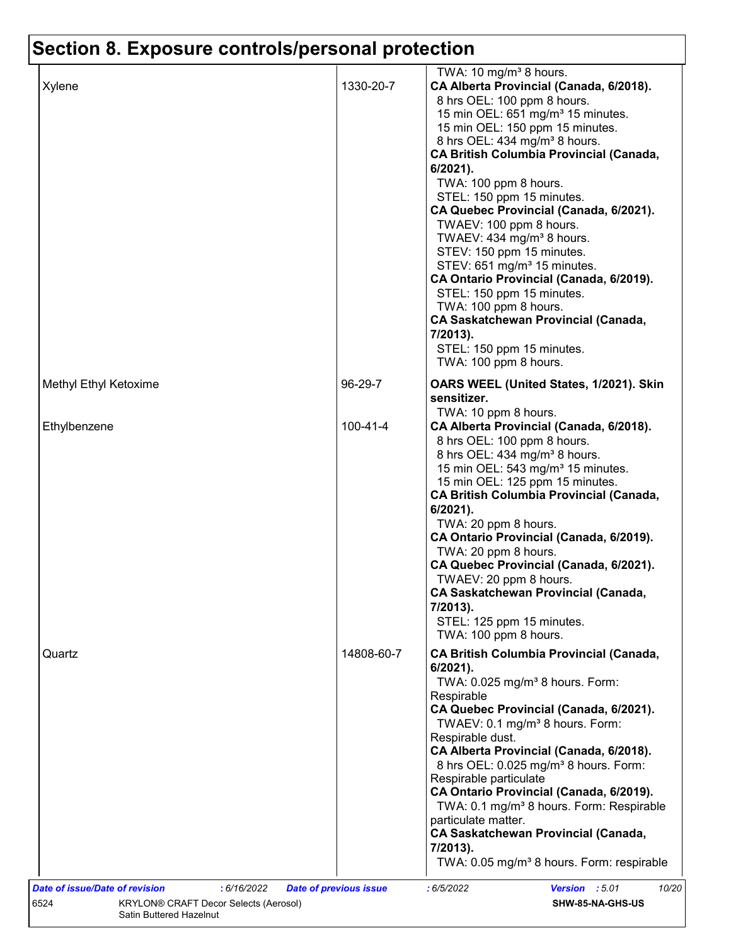| 1330-20-7<br>CA Alberta Provincial (Canada, 6/2018).<br>Xylene<br>8 hrs OEL: 100 ppm 8 hours.<br>15 min OEL: 651 mg/m <sup>3</sup> 15 minutes.<br>15 min OEL: 150 ppm 15 minutes.<br>8 hrs OEL: 434 mg/m <sup>3</sup> 8 hours.<br>6/2021).<br>TWA: 100 ppm 8 hours.<br>STEL: 150 ppm 15 minutes.<br>CA Quebec Provincial (Canada, 6/2021).<br>TWAEV: 100 ppm 8 hours.<br>TWAEV: 434 mg/m <sup>3</sup> 8 hours.<br>STEV: 150 ppm 15 minutes.<br>STEV: 651 mg/m <sup>3</sup> 15 minutes.<br>CA Ontario Provincial (Canada, 6/2019).<br>STEL: 150 ppm 15 minutes.<br>TWA: 100 ppm 8 hours.<br><b>CA Saskatchewan Provincial (Canada,</b><br>7/2013).<br>STEL: 150 ppm 15 minutes.<br>TWA: 100 ppm 8 hours.<br>96-29-7<br>Methyl Ethyl Ketoxime<br>OARS WEEL (United States, 1/2021). Skin<br>sensitizer.<br>TWA: 10 ppm 8 hours.<br>$100 - 41 - 4$<br>Ethylbenzene<br>CA Alberta Provincial (Canada, 6/2018).<br>8 hrs OEL: 100 ppm 8 hours.<br>8 hrs OEL: 434 mg/m <sup>3</sup> 8 hours.<br>15 min OEL: 543 mg/m <sup>3</sup> 15 minutes.<br>15 min OEL: 125 ppm 15 minutes.<br>$6/2021$ ).<br>TWA: 20 ppm 8 hours.<br>CA Ontario Provincial (Canada, 6/2019).<br>TWA: 20 ppm 8 hours.<br>CA Quebec Provincial (Canada, 6/2021).<br>TWAEV: 20 ppm 8 hours.<br><b>CA Saskatchewan Provincial (Canada,</b><br>7/2013).<br>STEL: 125 ppm 15 minutes.<br>TWA: 100 ppm 8 hours.<br>14808-60-7<br>Quartz<br>$6/2021$ ).<br>TWA: 0.025 mg/m <sup>3</sup> 8 hours. Form:<br>Respirable<br>CA Quebec Provincial (Canada, 6/2021).<br>TWAEV: 0.1 mg/m <sup>3</sup> 8 hours. Form:<br>Respirable dust.<br>CA Alberta Provincial (Canada, 6/2018).<br>8 hrs OEL: 0.025 mg/m <sup>3</sup> 8 hours. Form:<br>Respirable particulate<br>CA Ontario Provincial (Canada, 6/2019). |  | TWA: 10 mg/m <sup>3</sup> 8 hours.                                                                                                                                                     |
|----------------------------------------------------------------------------------------------------------------------------------------------------------------------------------------------------------------------------------------------------------------------------------------------------------------------------------------------------------------------------------------------------------------------------------------------------------------------------------------------------------------------------------------------------------------------------------------------------------------------------------------------------------------------------------------------------------------------------------------------------------------------------------------------------------------------------------------------------------------------------------------------------------------------------------------------------------------------------------------------------------------------------------------------------------------------------------------------------------------------------------------------------------------------------------------------------------------------------------------------------------------------------------------------------------------------------------------------------------------------------------------------------------------------------------------------------------------------------------------------------------------------------------------------------------------------------------------------------------------------------------------------------------------------------------------------------------------------------------------------------------------|--|----------------------------------------------------------------------------------------------------------------------------------------------------------------------------------------|
|                                                                                                                                                                                                                                                                                                                                                                                                                                                                                                                                                                                                                                                                                                                                                                                                                                                                                                                                                                                                                                                                                                                                                                                                                                                                                                                                                                                                                                                                                                                                                                                                                                                                                                                                                                |  | <b>CA British Columbia Provincial (Canada,</b>                                                                                                                                         |
|                                                                                                                                                                                                                                                                                                                                                                                                                                                                                                                                                                                                                                                                                                                                                                                                                                                                                                                                                                                                                                                                                                                                                                                                                                                                                                                                                                                                                                                                                                                                                                                                                                                                                                                                                                |  |                                                                                                                                                                                        |
|                                                                                                                                                                                                                                                                                                                                                                                                                                                                                                                                                                                                                                                                                                                                                                                                                                                                                                                                                                                                                                                                                                                                                                                                                                                                                                                                                                                                                                                                                                                                                                                                                                                                                                                                                                |  | <b>CA British Columbia Provincial (Canada,</b>                                                                                                                                         |
| <b>CA Saskatchewan Provincial (Canada,</b><br>7/2013).                                                                                                                                                                                                                                                                                                                                                                                                                                                                                                                                                                                                                                                                                                                                                                                                                                                                                                                                                                                                                                                                                                                                                                                                                                                                                                                                                                                                                                                                                                                                                                                                                                                                                                         |  | <b>CA British Columbia Provincial (Canada,</b><br>TWA: 0.1 mg/m <sup>3</sup> 8 hours. Form: Respirable<br>particulate matter.<br>TWA: 0.05 mg/m <sup>3</sup> 8 hours. Form: respirable |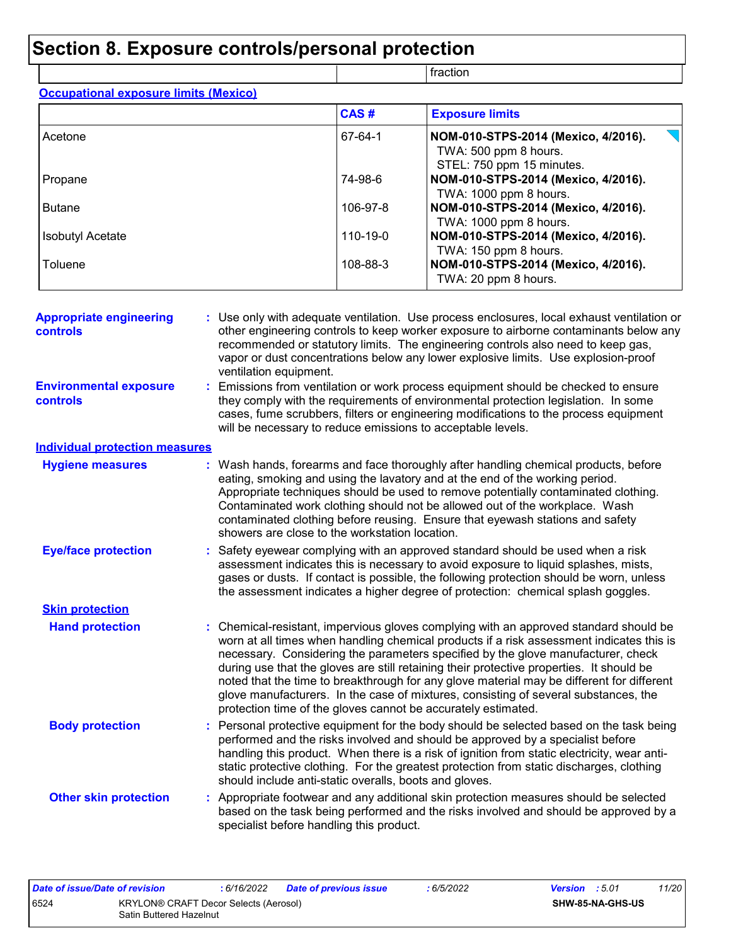|                                              |          | fraction                                                                                  |  |  |  |  |
|----------------------------------------------|----------|-------------------------------------------------------------------------------------------|--|--|--|--|
| <b>Occupational exposure limits (Mexico)</b> |          |                                                                                           |  |  |  |  |
|                                              | CAS#     | <b>Exposure limits</b>                                                                    |  |  |  |  |
| Acetone                                      | 67-64-1  | NOM-010-STPS-2014 (Mexico, 4/2016).<br>TWA: 500 ppm 8 hours.<br>STEL: 750 ppm 15 minutes. |  |  |  |  |
| Propane                                      | 74-98-6  | NOM-010-STPS-2014 (Mexico, 4/2016).<br>TWA: 1000 ppm 8 hours.                             |  |  |  |  |
| <b>Butane</b>                                | 106-97-8 | NOM-010-STPS-2014 (Mexico, 4/2016).<br>TWA: 1000 ppm 8 hours.                             |  |  |  |  |
| <b>Isobutyl Acetate</b>                      | 110-19-0 | NOM-010-STPS-2014 (Mexico, 4/2016).<br>TWA: 150 ppm 8 hours.                              |  |  |  |  |
| Toluene                                      | 108-88-3 | NOM-010-STPS-2014 (Mexico, 4/2016).<br>TWA: 20 ppm 8 hours.                               |  |  |  |  |

| <b>Appropriate engineering</b><br><b>controls</b> | : Use only with adequate ventilation. Use process enclosures, local exhaust ventilation or<br>other engineering controls to keep worker exposure to airborne contaminants below any<br>recommended or statutory limits. The engineering controls also need to keep gas,<br>vapor or dust concentrations below any lower explosive limits. Use explosion-proof<br>ventilation equipment.                                                                                                                                                                                                                                |
|---------------------------------------------------|------------------------------------------------------------------------------------------------------------------------------------------------------------------------------------------------------------------------------------------------------------------------------------------------------------------------------------------------------------------------------------------------------------------------------------------------------------------------------------------------------------------------------------------------------------------------------------------------------------------------|
| <b>Environmental exposure</b><br><b>controls</b>  | : Emissions from ventilation or work process equipment should be checked to ensure<br>they comply with the requirements of environmental protection legislation. In some<br>cases, fume scrubbers, filters or engineering modifications to the process equipment<br>will be necessary to reduce emissions to acceptable levels.                                                                                                                                                                                                                                                                                        |
| <b>Individual protection measures</b>             |                                                                                                                                                                                                                                                                                                                                                                                                                                                                                                                                                                                                                        |
| <b>Hygiene measures</b>                           | : Wash hands, forearms and face thoroughly after handling chemical products, before<br>eating, smoking and using the lavatory and at the end of the working period.<br>Appropriate techniques should be used to remove potentially contaminated clothing.<br>Contaminated work clothing should not be allowed out of the workplace. Wash<br>contaminated clothing before reusing. Ensure that eyewash stations and safety<br>showers are close to the workstation location.                                                                                                                                            |
| <b>Eye/face protection</b>                        | : Safety eyewear complying with an approved standard should be used when a risk<br>assessment indicates this is necessary to avoid exposure to liquid splashes, mists,<br>gases or dusts. If contact is possible, the following protection should be worn, unless<br>the assessment indicates a higher degree of protection: chemical splash goggles.                                                                                                                                                                                                                                                                  |
| <b>Skin protection</b>                            |                                                                                                                                                                                                                                                                                                                                                                                                                                                                                                                                                                                                                        |
| <b>Hand protection</b>                            | : Chemical-resistant, impervious gloves complying with an approved standard should be<br>worn at all times when handling chemical products if a risk assessment indicates this is<br>necessary. Considering the parameters specified by the glove manufacturer, check<br>during use that the gloves are still retaining their protective properties. It should be<br>noted that the time to breakthrough for any glove material may be different for different<br>glove manufacturers. In the case of mixtures, consisting of several substances, the<br>protection time of the gloves cannot be accurately estimated. |
| <b>Body protection</b>                            | : Personal protective equipment for the body should be selected based on the task being<br>performed and the risks involved and should be approved by a specialist before<br>handling this product. When there is a risk of ignition from static electricity, wear anti-<br>static protective clothing. For the greatest protection from static discharges, clothing<br>should include anti-static overalls, boots and gloves.                                                                                                                                                                                         |
| <b>Other skin protection</b>                      | : Appropriate footwear and any additional skin protection measures should be selected<br>based on the task being performed and the risks involved and should be approved by a<br>specialist before handling this product.                                                                                                                                                                                                                                                                                                                                                                                              |
|                                                   |                                                                                                                                                                                                                                                                                                                                                                                                                                                                                                                                                                                                                        |

| Date of issue/Date of revision                                           |  | : 6/16/2022 | <b>Date of previous issue</b> | : 6/5/2022 | <b>Version</b> : 5.01   |  | 11/20 |
|--------------------------------------------------------------------------|--|-------------|-------------------------------|------------|-------------------------|--|-------|
| 6524<br>KRYLON® CRAFT Decor Selects (Aerosol)<br>Satin Buttered Hazelnut |  |             |                               |            | <b>SHW-85-NA-GHS-US</b> |  |       |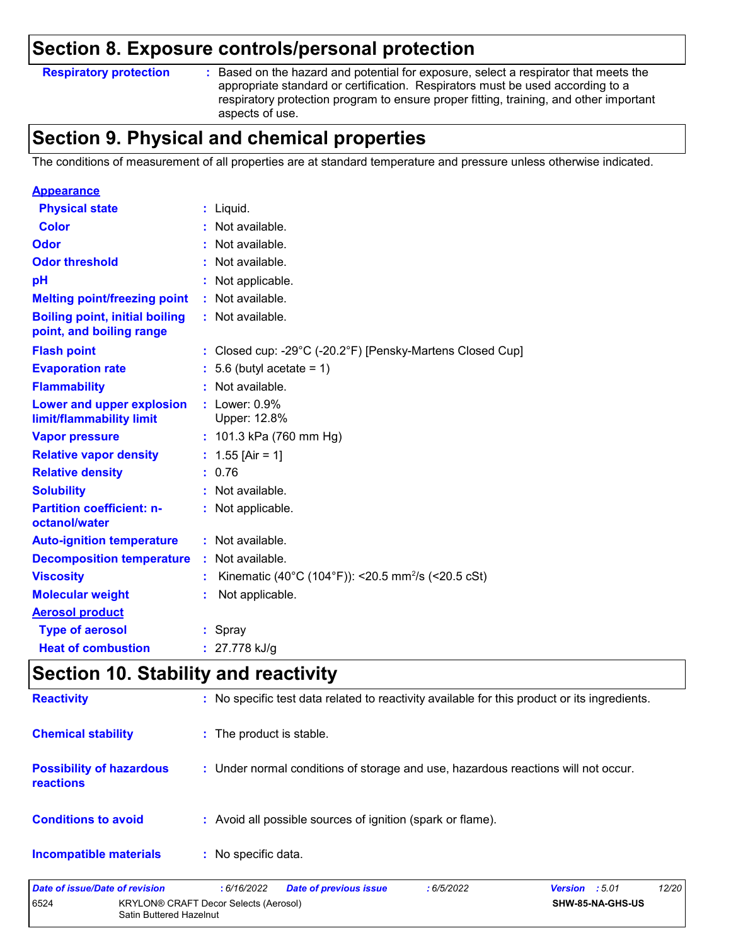**Respiratory protection :**

Based on the hazard and potential for exposure, select a respirator that meets the appropriate standard or certification. Respirators must be used according to a respiratory protection program to ensure proper fitting, training, and other important aspects of use.

### **Section 9. Physical and chemical properties**

The conditions of measurement of all properties are at standard temperature and pressure unless otherwise indicated.

| <b>Appearance</b>                                                 |    |                                                                |
|-------------------------------------------------------------------|----|----------------------------------------------------------------|
| <b>Physical state</b>                                             |    | $:$ Liquid.                                                    |
| <b>Color</b>                                                      |    | Not available.                                                 |
| Odor                                                              |    | Not available.                                                 |
| <b>Odor threshold</b>                                             |    | : Not available.                                               |
| pH                                                                |    | : Not applicable.                                              |
| <b>Melting point/freezing point</b>                               |    | Not available.                                                 |
| <b>Boiling point, initial boiling</b><br>point, and boiling range |    | : Not available.                                               |
| <b>Flash point</b>                                                |    | : Closed cup: -29°C (-20.2°F) [Pensky-Martens Closed Cup]      |
| <b>Evaporation rate</b>                                           |    | $: 5.6$ (butyl acetate = 1)                                    |
| <b>Flammability</b>                                               |    | : Not available.                                               |
| Lower and upper explosion<br>limit/flammability limit             |    | $:$ Lower: $0.9\%$<br>Upper: 12.8%                             |
| <b>Vapor pressure</b>                                             |    | : $101.3$ kPa (760 mm Hg)                                      |
| <b>Relative vapor density</b>                                     |    | : $1.55$ [Air = 1]                                             |
| <b>Relative density</b>                                           |    | : 0.76                                                         |
| <b>Solubility</b>                                                 |    | : Not available.                                               |
| <b>Partition coefficient: n-</b><br>octanol/water                 |    | : Not applicable.                                              |
| <b>Auto-ignition temperature</b>                                  |    | : Not available.                                               |
| <b>Decomposition temperature</b>                                  |    | Not available.                                                 |
| <b>Viscosity</b>                                                  |    | Kinematic (40°C (104°F)): <20.5 mm <sup>2</sup> /s (<20.5 cSt) |
| <b>Molecular weight</b>                                           | ÷. | Not applicable.                                                |
| <b>Aerosol product</b>                                            |    |                                                                |
| <b>Type of aerosol</b>                                            |    | : Spray                                                        |
| <b>Heat of combustion</b>                                         |    | : $27.778$ kJ/g                                                |

### **Section 10. Stability and reactivity**

| Date of issue/Date of revision                      | <b>Date of previous issue</b><br>: 6/5/2022<br>: 6/16/2022                                   | 12/20<br><b>Version</b> : 5.01 |
|-----------------------------------------------------|----------------------------------------------------------------------------------------------|--------------------------------|
| <b>Incompatible materials</b>                       | : No specific data.                                                                          |                                |
| <b>Conditions to avoid</b>                          | : Avoid all possible sources of ignition (spark or flame).                                   |                                |
| <b>Possibility of hazardous</b><br><b>reactions</b> | : Under normal conditions of storage and use, hazardous reactions will not occur.            |                                |
| <b>Chemical stability</b>                           | : The product is stable.                                                                     |                                |
| <b>Reactivity</b>                                   | : No specific test data related to reactivity available for this product or its ingredients. |                                |

|      |                                              |  | . |                  |
|------|----------------------------------------------|--|---|------------------|
| 6524 | <b>KRYLON® CRAFT Decor Selects (Aerosol)</b> |  |   | SHW-85-NA-GHS-US |
|      | Satin Buttered Hazelnut                      |  |   |                  |
|      |                                              |  |   |                  |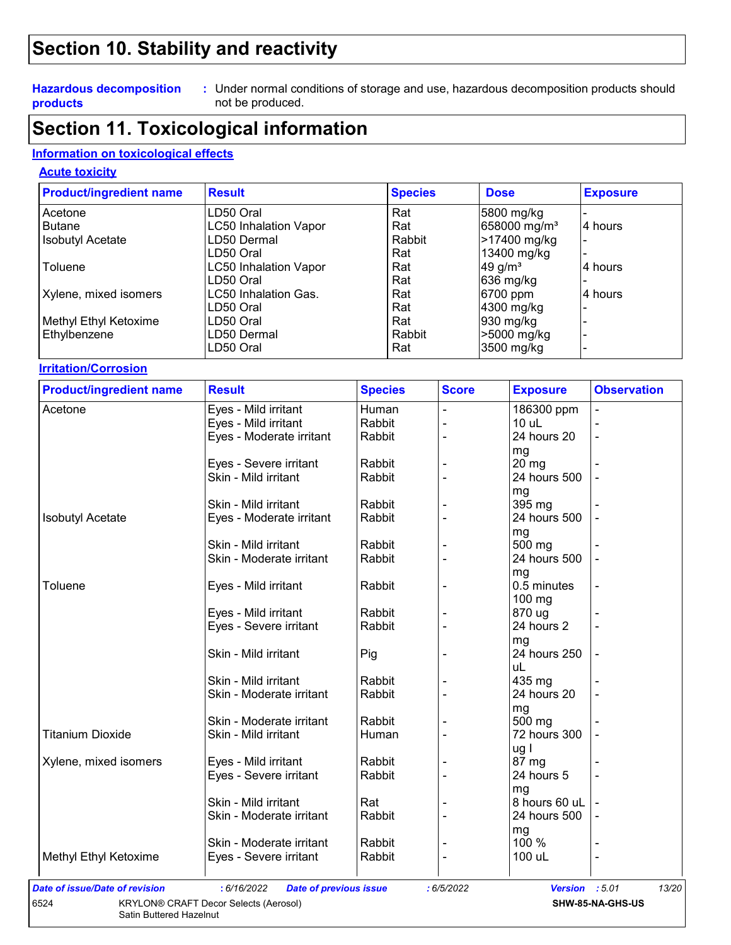### **Section 10. Stability and reactivity**

#### **Hazardous decomposition products**

Under normal conditions of storage and use, hazardous decomposition products should **:** not be produced.

### **Section 11. Toxicological information**

#### **Information on toxicological effects**

#### **Acute toxicity**

| <b>Product/ingredient name</b> | <b>Result</b>                | <b>Species</b> | <b>Dose</b>              | <b>Exposure</b> |
|--------------------------------|------------------------------|----------------|--------------------------|-----------------|
| Acetone                        | LD50 Oral                    | Rat            | 5800 mg/kg               |                 |
| <b>Butane</b>                  | <b>LC50 Inhalation Vapor</b> | Rat            | 658000 mg/m <sup>3</sup> | 4 hours         |
| <b>Isobutyl Acetate</b>        | LD50 Dermal                  | Rabbit         | >17400 mg/kg             |                 |
|                                | LD50 Oral                    | Rat            | 13400 mg/kg              |                 |
| Toluene                        | <b>LC50 Inhalation Vapor</b> | Rat            | 49 g/ $m3$               | 4 hours         |
|                                | LD50 Oral                    | Rat            | 636 mg/kg                |                 |
| Xylene, mixed isomers          | LC50 Inhalation Gas.         | Rat            | 6700 ppm                 | 4 hours         |
|                                | LD50 Oral                    | Rat            | 4300 mg/kg               |                 |
| Methyl Ethyl Ketoxime          | LD50 Oral                    | Rat            | 930 mg/kg                |                 |
| Ethylbenzene                   | LD50 Dermal                  | Rabbit         | >5000 mg/kg              |                 |
|                                | LD50 Oral                    | Rat            | 3500 mg/kg               |                 |

#### **Irritation/Corrosion**

| <b>Product/ingredient name</b>        | <b>Result</b>                                | <b>Species</b> | <b>Score</b>   | <b>Exposure</b> | <b>Observation</b> |
|---------------------------------------|----------------------------------------------|----------------|----------------|-----------------|--------------------|
| Acetone                               | Eyes - Mild irritant                         | Human          |                | 186300 ppm      |                    |
|                                       | Eyes - Mild irritant                         | Rabbit         |                | 10 uL           |                    |
|                                       | Eyes - Moderate irritant                     | Rabbit         |                | 24 hours 20     |                    |
|                                       |                                              |                |                | mg              |                    |
|                                       | Eyes - Severe irritant                       | Rabbit         |                | 20 mg           |                    |
|                                       | Skin - Mild irritant                         | Rabbit         |                | 24 hours 500    |                    |
|                                       |                                              |                |                | mg              |                    |
|                                       | Skin - Mild irritant                         | Rabbit         |                | 395 mg          |                    |
| <b>Isobutyl Acetate</b>               | Eyes - Moderate irritant                     | Rabbit         |                | 24 hours 500    |                    |
|                                       |                                              |                |                | mg              |                    |
|                                       | Skin - Mild irritant                         | Rabbit         |                | 500 mg          |                    |
|                                       | Skin - Moderate irritant                     | Rabbit         |                | 24 hours 500    |                    |
|                                       |                                              |                |                | mg              |                    |
| Toluene                               | Eyes - Mild irritant                         | Rabbit         |                | 0.5 minutes     |                    |
|                                       |                                              |                |                | 100 mg          |                    |
|                                       | Eyes - Mild irritant                         | Rabbit         |                | 870 ug          |                    |
|                                       | Eyes - Severe irritant                       | Rabbit         |                | 24 hours 2      |                    |
|                                       |                                              |                |                | mg              |                    |
|                                       | Skin - Mild irritant                         | Pig            |                | 24 hours 250    |                    |
|                                       |                                              |                |                | uL              |                    |
|                                       | Skin - Mild irritant                         | Rabbit         |                | 435 mg          |                    |
|                                       | Skin - Moderate irritant                     | Rabbit         |                | 24 hours 20     |                    |
|                                       |                                              |                |                | mg              |                    |
|                                       | Skin - Moderate irritant                     | Rabbit         |                | 500 mg          |                    |
| <b>Titanium Dioxide</b>               | Skin - Mild irritant                         | Human          |                | 72 hours 300    |                    |
|                                       |                                              |                |                | ug l            |                    |
| Xylene, mixed isomers                 | Eyes - Mild irritant                         | Rabbit         |                | 87 mg           |                    |
|                                       | Eyes - Severe irritant                       | Rabbit         |                | 24 hours 5      |                    |
|                                       |                                              |                |                | mg              |                    |
|                                       | Skin - Mild irritant                         | Rat            |                | 8 hours 60 uL   |                    |
|                                       | Skin - Moderate irritant                     | Rabbit         |                | 24 hours 500    |                    |
|                                       |                                              |                |                | mg              |                    |
|                                       | Skin - Moderate irritant                     | Rabbit         |                | 100 %           |                    |
| Methyl Ethyl Ketoxime                 | Eyes - Severe irritant                       | Rabbit         | $\blacksquare$ | 100 uL          |                    |
|                                       |                                              |                |                |                 |                    |
| <b>Date of issue/Date of revision</b> | : 6/16/2022<br><b>Date of previous issue</b> |                | :6/5/2022      | <b>Version</b>  | :5.01<br>13/20     |
| 6524                                  | KRYLON® CRAFT Decor Selects (Aerosol)        |                |                |                 | SHW-85-NA-GHS-US   |

Satin Buttered Hazelnut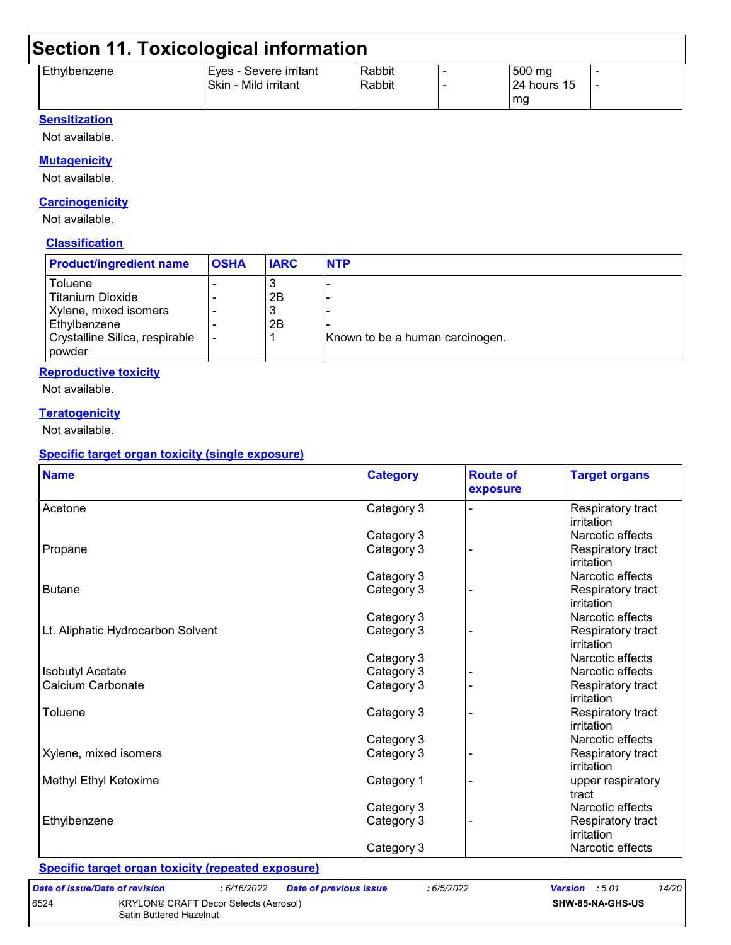## **Section 11. Toxicological information**

|              | --                     |        |              |  |
|--------------|------------------------|--------|--------------|--|
| Ethylbenzene | Eyes - Severe irritant | Rabbit | 500 mg       |  |
|              | Skin - Mild irritant   | Rabbit | 124 hours 15 |  |
|              |                        |        | mg           |  |

#### **Sensitization**

Not available.

#### **Mutagenicity**

Not available.

#### **Carcinogenicity**

Not available.

#### **Classification**

| <b>Toluene</b><br><b>Titanium Dioxide</b><br>2B<br>Xylene, mixed isomers<br>2B<br>Ethylbenzene | <b>Product/ingredient name</b> | <b>OSHA</b> | <b>IARC</b> | <b>NTP</b> |
|------------------------------------------------------------------------------------------------|--------------------------------|-------------|-------------|------------|
| Crystalline Silica, respirable<br>Known to be a human carcinogen.<br><b>powder</b>             |                                |             |             |            |

#### **Reproductive toxicity**

Not available.

#### **Teratogenicity**

Not available.

#### **Specific target organ toxicity (single exposure)**

| <b>Name</b>                       | <b>Category</b> | <b>Route of</b><br>exposure | <b>Target organs</b> |
|-----------------------------------|-----------------|-----------------------------|----------------------|
| Acetone                           | Category 3      |                             | Respiratory tract    |
|                                   |                 |                             | irritation           |
|                                   | Category 3      |                             | Narcotic effects     |
| Propane                           | Category 3      |                             | Respiratory tract    |
|                                   |                 |                             | irritation           |
|                                   | Category 3      |                             | Narcotic effects     |
| <b>Butane</b>                     | Category 3      |                             | Respiratory tract    |
|                                   |                 |                             | irritation           |
|                                   | Category 3      |                             | Narcotic effects     |
| Lt. Aliphatic Hydrocarbon Solvent | Category 3      |                             | Respiratory tract    |
|                                   |                 |                             | irritation           |
|                                   | Category 3      |                             | Narcotic effects     |
| <b>Isobutyl Acetate</b>           | Category 3      |                             | Narcotic effects     |
| Calcium Carbonate                 | Category 3      |                             | Respiratory tract    |
|                                   |                 |                             | irritation           |
| Toluene                           | Category 3      |                             | Respiratory tract    |
|                                   |                 |                             | irritation           |
|                                   | Category 3      |                             | Narcotic effects     |
| Xylene, mixed isomers             | Category 3      |                             | Respiratory tract    |
|                                   |                 |                             | irritation           |
| Methyl Ethyl Ketoxime             | Category 1      |                             | upper respiratory    |
|                                   |                 |                             | tract                |
|                                   | Category 3      |                             | Narcotic effects     |
| Ethylbenzene                      | Category 3      |                             | Respiratory tract    |
|                                   |                 |                             | irritation           |
|                                   | Category 3      |                             | Narcotic effects     |

**Specific target organ toxicity (repeated exposure)**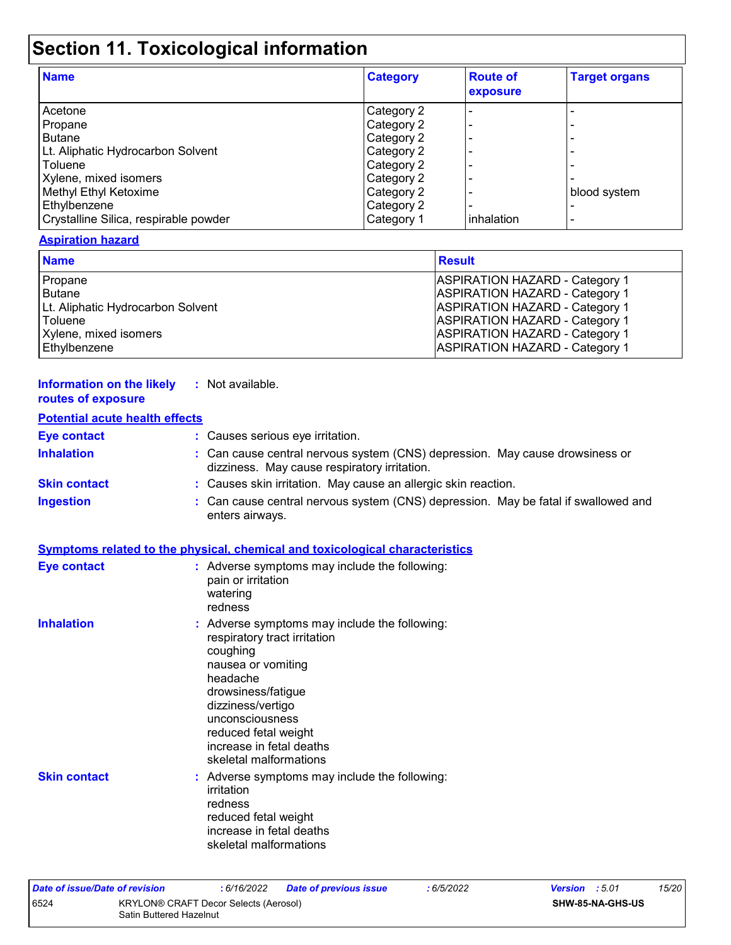## **Section 11. Toxicological information**

| <b>Name</b>                           | <b>Category</b> | <b>Route of</b><br>exposure | <b>Target organs</b> |
|---------------------------------------|-----------------|-----------------------------|----------------------|
| Acetone                               | Category 2      |                             |                      |
| Propane                               | Category 2      |                             |                      |
| <b>Butane</b>                         | Category 2      |                             |                      |
| Lt. Aliphatic Hydrocarbon Solvent     | Category 2      |                             |                      |
| Toluene                               | Category 2      |                             |                      |
| Xylene, mixed isomers                 | Category 2      |                             |                      |
| Methyl Ethyl Ketoxime                 | Category 2      |                             | blood system         |
| Ethylbenzene                          | Category 2      |                             |                      |
| Crystalline Silica, respirable powder | Category 1      | <b>linhalation</b>          |                      |

#### **Aspiration hazard**

| <b>Name</b>                       | <b>Result</b>                         |
|-----------------------------------|---------------------------------------|
| Propane                           | <b>ASPIRATION HAZARD - Category 1</b> |
| Butane                            | <b>ASPIRATION HAZARD - Category 1</b> |
| Lt. Aliphatic Hydrocarbon Solvent | <b>ASPIRATION HAZARD - Category 1</b> |
| Toluene                           | <b>ASPIRATION HAZARD - Category 1</b> |
| Xylene, mixed isomers             | <b>ASPIRATION HAZARD - Category 1</b> |
| Ethylbenzene                      | <b>ASPIRATION HAZARD - Category 1</b> |

#### **Information on the likely :** Not available. **routes of exposure**

#### **Potential acute health effects**

| <b>Eye contact</b>  | : Causes serious eye irritation.                                                                                             |
|---------------------|------------------------------------------------------------------------------------------------------------------------------|
| <b>Inhalation</b>   | : Can cause central nervous system (CNS) depression. May cause drowsiness or<br>dizziness. May cause respiratory irritation. |
| <b>Skin contact</b> | : Causes skin irritation. May cause an allergic skin reaction.                                                               |
| <b>Ingestion</b>    | : Can cause central nervous system (CNS) depression. May be fatal if swallowed and<br>enters airways.                        |

#### **Symptoms related to the physical, chemical and toxicological characteristics**

| <b>Eye contact</b>  | : Adverse symptoms may include the following:<br>pain or irritation<br>watering<br>redness                                                                                                                                                                              |
|---------------------|-------------------------------------------------------------------------------------------------------------------------------------------------------------------------------------------------------------------------------------------------------------------------|
| <b>Inhalation</b>   | : Adverse symptoms may include the following:<br>respiratory tract irritation<br>coughing<br>nausea or vomiting<br>headache<br>drowsiness/fatigue<br>dizziness/vertigo<br>unconsciousness<br>reduced fetal weight<br>increase in fetal deaths<br>skeletal malformations |
| <b>Skin contact</b> | : Adverse symptoms may include the following:<br>irritation<br>redness<br>reduced fetal weight<br>increase in fetal deaths<br>skeletal malformations                                                                                                                    |

| Date of issue/Date of revision |                                                                  | : 6/16/2022 | <b>Date of previous issue</b> | : 6/5/2022 | <b>Version</b> : 5.01   |  | 15/20 |
|--------------------------------|------------------------------------------------------------------|-------------|-------------------------------|------------|-------------------------|--|-------|
| 6524                           | KRYLON® CRAFT Decor Selects (Aerosol)<br>Satin Buttered Hazelnut |             |                               |            | <b>SHW-85-NA-GHS-US</b> |  |       |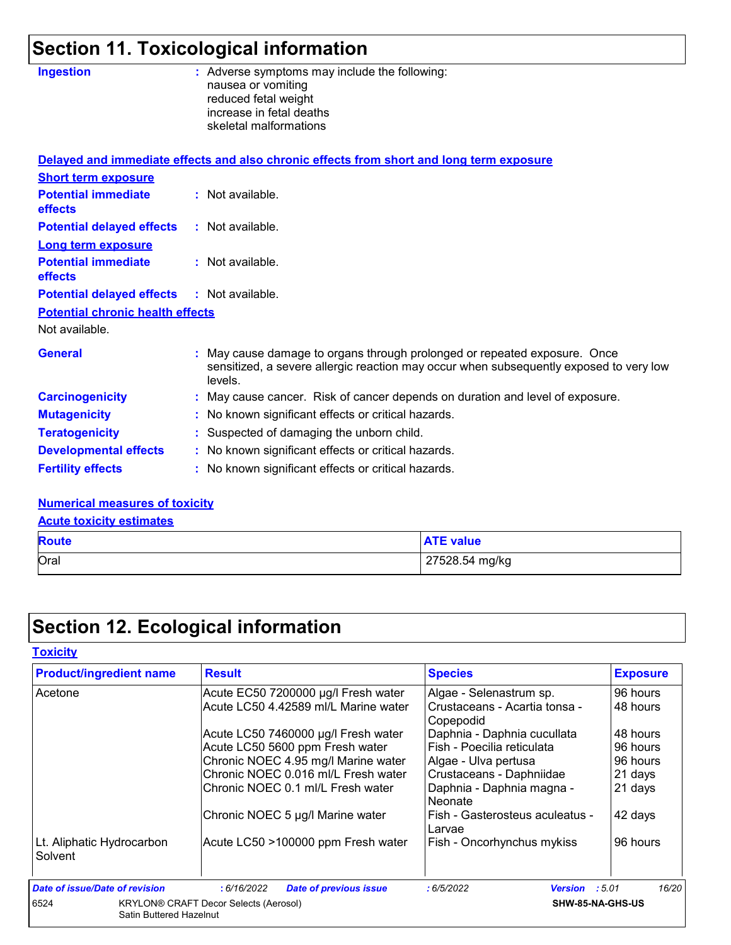# **Section 11. Toxicological information**

| <b>Ingestion</b>                                          | : Adverse symptoms may include the following:<br>nausea or vomiting                                                                                                            |
|-----------------------------------------------------------|--------------------------------------------------------------------------------------------------------------------------------------------------------------------------------|
|                                                           | reduced fetal weight                                                                                                                                                           |
|                                                           | increase in fetal deaths                                                                                                                                                       |
|                                                           | skeletal malformations                                                                                                                                                         |
|                                                           | Delayed and immediate effects and also chronic effects from short and long term exposure                                                                                       |
| <b>Short term exposure</b>                                |                                                                                                                                                                                |
| <b>Potential immediate</b><br><b>effects</b>              | : Not available.                                                                                                                                                               |
| <b>Potential delayed effects</b>                          | : Not available.                                                                                                                                                               |
| <b>Long term exposure</b>                                 |                                                                                                                                                                                |
| <b>Potential immediate</b><br><b>effects</b>              | : Not available.                                                                                                                                                               |
| <b>Potential delayed effects</b>                          | : Not available.                                                                                                                                                               |
| <b>Potential chronic health effects</b><br>Not available. |                                                                                                                                                                                |
|                                                           |                                                                                                                                                                                |
| <b>General</b>                                            | : May cause damage to organs through prolonged or repeated exposure. Once<br>sensitized, a severe allergic reaction may occur when subsequently exposed to very low<br>levels. |
| <b>Carcinogenicity</b>                                    | : May cause cancer. Risk of cancer depends on duration and level of exposure.                                                                                                  |
| <b>Mutagenicity</b>                                       | : No known significant effects or critical hazards.                                                                                                                            |
| <b>Teratogenicity</b>                                     | : Suspected of damaging the unborn child.                                                                                                                                      |
| <b>Developmental effects</b>                              | : No known significant effects or critical hazards.                                                                                                                            |
| <b>Fertility effects</b>                                  | : No known significant effects or critical hazards.                                                                                                                            |
|                                                           |                                                                                                                                                                                |

#### **Numerical measures of toxicity**

**Acute toxicity estimates**

| <b>Route</b> | <b>ATE value</b> |
|--------------|------------------|
| Oral         | 27528.54 mg/kg   |

## **Section 12. Ecological information**

#### **Toxicity**

| <b>Product/ingredient name</b>       | <b>Result</b>                                | <b>Species</b>                             | <b>Exposure</b> |
|--------------------------------------|----------------------------------------------|--------------------------------------------|-----------------|
| Acetone                              | Acute EC50 7200000 µg/l Fresh water          | Algae - Selenastrum sp.                    | 96 hours        |
|                                      | Acute LC50 4.42589 ml/L Marine water         | Crustaceans - Acartia tonsa -<br>Copepodid | 48 hours        |
|                                      | Acute LC50 7460000 µg/l Fresh water          | Daphnia - Daphnia cucullata                | 48 hours        |
|                                      | Acute LC50 5600 ppm Fresh water              | Fish - Poecilia reticulata                 | 96 hours        |
|                                      | Chronic NOEC 4.95 mg/l Marine water          | Algae - Ulva pertusa                       | 96 hours        |
|                                      | Chronic NOEC 0.016 ml/L Fresh water          | Crustaceans - Daphniidae                   | 21 days         |
|                                      | IChronic NOEC 0.1 ml/L Fresh water           | Daphnia - Daphnia magna -<br>Neonate       | 21 days         |
|                                      | Chronic NOEC 5 µg/l Marine water             | Fish - Gasterosteus aculeatus -<br>Larvae  | 42 days         |
| Lt. Aliphatic Hydrocarbon<br>Solvent | Acute LC50 >100000 ppm Fresh water           | Fish - Oncorhynchus mykiss                 | 96 hours        |
| Date of issue/Date of revision       | :6/16/2022<br><b>Date of previous issue</b>  | :6/5/2022<br><b>Version</b> : $5.01$       | 16/20           |
| 6524<br>Satin Buttered Hazelnut      | <b>KRYLON® CRAFT Decor Selects (Aerosol)</b> | SHW-85-NA-GHS-US                           |                 |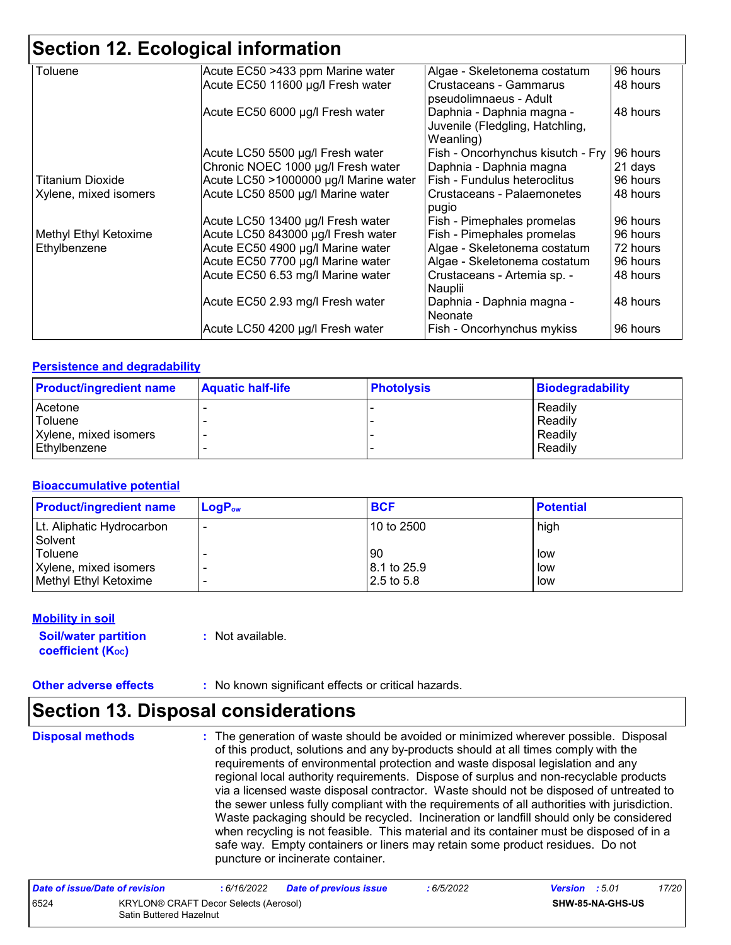### **Section 12. Ecological information**

| Toluene                 | Acute EC50 >433 ppm Marine water      | Algae - Skeletonema costatum      | 96 hours |
|-------------------------|---------------------------------------|-----------------------------------|----------|
|                         | Acute EC50 11600 µg/l Fresh water     | Crustaceans - Gammarus            | 48 hours |
|                         |                                       | pseudolimnaeus - Adult            |          |
|                         | Acute EC50 6000 µg/l Fresh water      | Daphnia - Daphnia magna -         | 48 hours |
|                         |                                       | Juvenile (Fledgling, Hatchling,   |          |
|                         |                                       | Weanling)                         |          |
|                         | Acute LC50 5500 µg/l Fresh water      | Fish - Oncorhynchus kisutch - Fry | 96 hours |
|                         | Chronic NOEC 1000 µg/l Fresh water    | Daphnia - Daphnia magna           | 21 days  |
| <b>Titanium Dioxide</b> | Acute LC50 >1000000 µg/l Marine water | Fish - Fundulus heteroclitus      | 96 hours |
| Xylene, mixed isomers   | Acute LC50 8500 µg/l Marine water     | Crustaceans - Palaemonetes        | 48 hours |
|                         |                                       | pugio                             |          |
|                         | Acute LC50 13400 µg/l Fresh water     | Fish - Pimephales promelas        | 96 hours |
| Methyl Ethyl Ketoxime   | Acute LC50 843000 µg/l Fresh water    | Fish - Pimephales promelas        | 96 hours |
| Ethylbenzene            | Acute EC50 4900 µg/l Marine water     | Algae - Skeletonema costatum      | 72 hours |
|                         | Acute EC50 7700 µg/l Marine water     | Algae - Skeletonema costatum      | 96 hours |
|                         | Acute EC50 6.53 mg/l Marine water     | Crustaceans - Artemia sp. -       | 48 hours |
|                         |                                       | Nauplii                           |          |
|                         | Acute EC50 2.93 mg/l Fresh water      | Daphnia - Daphnia magna -         | 48 hours |
|                         |                                       | Neonate                           |          |
|                         | Acute LC50 4200 µg/l Fresh water      | Fish - Oncorhynchus mykiss        | 96 hours |

#### **Persistence and degradability**

| <b>Product/ingredient name</b> | <b>Aquatic half-life</b> | <b>Photolysis</b> | Biodegradability |
|--------------------------------|--------------------------|-------------------|------------------|
| Acetone                        |                          |                   | Readily          |
| Toluene                        |                          |                   | Readily          |
| Xylene, mixed isomers          |                          |                   | Readily          |
| l Ethvlbenzene                 |                          |                   | Readily          |

#### **Bioaccumulative potential**

| <b>Product/ingredient name</b> | $LogP_{ow}$ | <b>BCF</b>  | <b>Potential</b> |
|--------------------------------|-------------|-------------|------------------|
| Lt. Aliphatic Hydrocarbon      |             | 10 to 2500  | high             |
| Solvent                        |             |             |                  |
| Toluene                        |             | 90          | low              |
| Xylene, mixed isomers          |             | 8.1 to 25.9 | low              |
| Methyl Ethyl Ketoxime          |             | 2.5 to 5.8  | low              |

#### **Mobility in soil**

**Soil/water partition coefficient (KOC)**

**:** Not available.

**Other adverse effects** : No known significant effects or critical hazards.

### **Section 13. Disposal considerations**

**Disposal methods :**

The generation of waste should be avoided or minimized wherever possible. Disposal of this product, solutions and any by-products should at all times comply with the requirements of environmental protection and waste disposal legislation and any regional local authority requirements. Dispose of surplus and non-recyclable products via a licensed waste disposal contractor. Waste should not be disposed of untreated to the sewer unless fully compliant with the requirements of all authorities with jurisdiction. Waste packaging should be recycled. Incineration or landfill should only be considered when recycling is not feasible. This material and its container must be disposed of in a safe way. Empty containers or liners may retain some product residues. Do not puncture or incinerate container.

| Date of issue/Date of revision |                                                                  | : 6/16/2022 | <b>Date of previous issue</b> | : 6/5/2022 | <b>Version</b> : 5.01 |                         | 17/20 |
|--------------------------------|------------------------------------------------------------------|-------------|-------------------------------|------------|-----------------------|-------------------------|-------|
| 6524                           | KRYLON® CRAFT Decor Selects (Aerosol)<br>Satin Buttered Hazelnut |             |                               |            |                       | <b>SHW-85-NA-GHS-US</b> |       |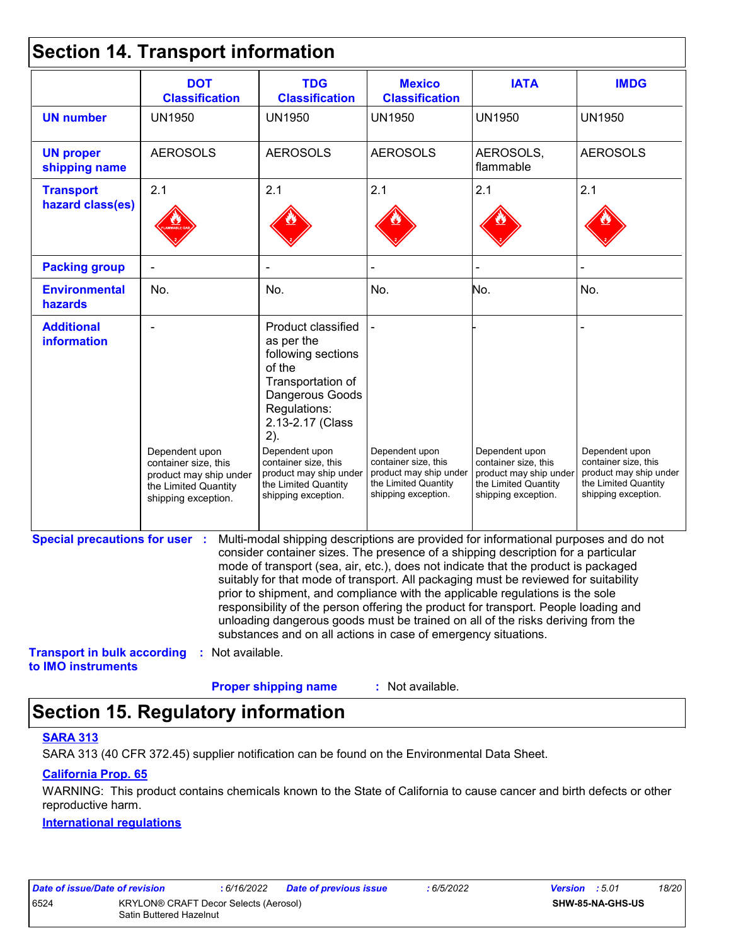### **Section 14. Transport information**

|                                                          | <b>DOT</b><br><b>Classification</b>                                                                             | <b>TDG</b><br><b>Classification</b>                                                                                                                                                                                                                                                                                                                                                                                                                                                                                                                                                                                                                                                 | <b>Mexico</b><br><b>Classification</b>                                                                          | <b>IATA</b>                                                                                                     | <b>IMDG</b>                                                                                                     |
|----------------------------------------------------------|-----------------------------------------------------------------------------------------------------------------|-------------------------------------------------------------------------------------------------------------------------------------------------------------------------------------------------------------------------------------------------------------------------------------------------------------------------------------------------------------------------------------------------------------------------------------------------------------------------------------------------------------------------------------------------------------------------------------------------------------------------------------------------------------------------------------|-----------------------------------------------------------------------------------------------------------------|-----------------------------------------------------------------------------------------------------------------|-----------------------------------------------------------------------------------------------------------------|
| <b>UN number</b>                                         | <b>UN1950</b>                                                                                                   | <b>UN1950</b>                                                                                                                                                                                                                                                                                                                                                                                                                                                                                                                                                                                                                                                                       | <b>UN1950</b>                                                                                                   | <b>UN1950</b>                                                                                                   | <b>UN1950</b>                                                                                                   |
| <b>UN proper</b><br>shipping name                        | <b>AEROSOLS</b>                                                                                                 | <b>AEROSOLS</b>                                                                                                                                                                                                                                                                                                                                                                                                                                                                                                                                                                                                                                                                     | <b>AEROSOLS</b>                                                                                                 | AEROSOLS,<br>flammable                                                                                          | <b>AEROSOLS</b>                                                                                                 |
| <b>Transport</b>                                         | 2.1                                                                                                             | 2.1                                                                                                                                                                                                                                                                                                                                                                                                                                                                                                                                                                                                                                                                                 | 2.1                                                                                                             | 2.1                                                                                                             | 2.1                                                                                                             |
| hazard class(es)                                         |                                                                                                                 |                                                                                                                                                                                                                                                                                                                                                                                                                                                                                                                                                                                                                                                                                     |                                                                                                                 |                                                                                                                 |                                                                                                                 |
| <b>Packing group</b>                                     |                                                                                                                 |                                                                                                                                                                                                                                                                                                                                                                                                                                                                                                                                                                                                                                                                                     |                                                                                                                 |                                                                                                                 |                                                                                                                 |
| <b>Environmental</b><br>hazards                          | No.                                                                                                             | No.                                                                                                                                                                                                                                                                                                                                                                                                                                                                                                                                                                                                                                                                                 | No.                                                                                                             | No.                                                                                                             | No.                                                                                                             |
| <b>Additional</b><br>information                         | Dependent upon<br>container size, this<br>product may ship under<br>the Limited Quantity<br>shipping exception. | Product classified<br>as per the<br>following sections<br>of the<br>Transportation of<br>Dangerous Goods<br>Regulations:<br>2.13-2.17 (Class<br>2).<br>Dependent upon<br>container size, this<br>product may ship under<br>the Limited Quantity<br>shipping exception.                                                                                                                                                                                                                                                                                                                                                                                                              | Dependent upon<br>container size, this<br>product may ship under<br>the Limited Quantity<br>shipping exception. | Dependent upon<br>container size, this<br>product may ship under<br>the Limited Quantity<br>shipping exception. | Dependent upon<br>container size, this<br>product may ship under<br>the Limited Quantity<br>shipping exception. |
| <b>Special precautions for user :</b>                    |                                                                                                                 | Multi-modal shipping descriptions are provided for informational purposes and do not<br>consider container sizes. The presence of a shipping description for a particular<br>mode of transport (sea, air, etc.), does not indicate that the product is packaged<br>suitably for that mode of transport. All packaging must be reviewed for suitability<br>prior to shipment, and compliance with the applicable regulations is the sole<br>responsibility of the person offering the product for transport. People loading and<br>unloading dangerous goods must be trained on all of the risks deriving from the<br>substances and on all actions in case of emergency situations. |                                                                                                                 |                                                                                                                 |                                                                                                                 |
| <b>Transport in bulk according</b><br>to IMO instruments | : Not available.                                                                                                |                                                                                                                                                                                                                                                                                                                                                                                                                                                                                                                                                                                                                                                                                     |                                                                                                                 |                                                                                                                 |                                                                                                                 |
|                                                          |                                                                                                                 | <b>Proper shipping name</b>                                                                                                                                                                                                                                                                                                                                                                                                                                                                                                                                                                                                                                                         | : Not available.                                                                                                |                                                                                                                 |                                                                                                                 |

## **Section 15. Regulatory information**

#### **SARA 313**

SARA 313 (40 CFR 372.45) supplier notification can be found on the Environmental Data Sheet.

#### **California Prop. 65**

WARNING: This product contains chemicals known to the State of California to cause cancer and birth defects or other reproductive harm.

#### **International regulations**

| Dale of Issue/Dale of Fevision. |                                              | 50/10/2022 | - Dal |
|---------------------------------|----------------------------------------------|------------|-------|
| 6524                            | <b>KRYLON® CRAFT Decor Selects (Aerosol)</b> |            |       |
|                                 | <b>Satin Buttered Hazelnut</b>               |            |       |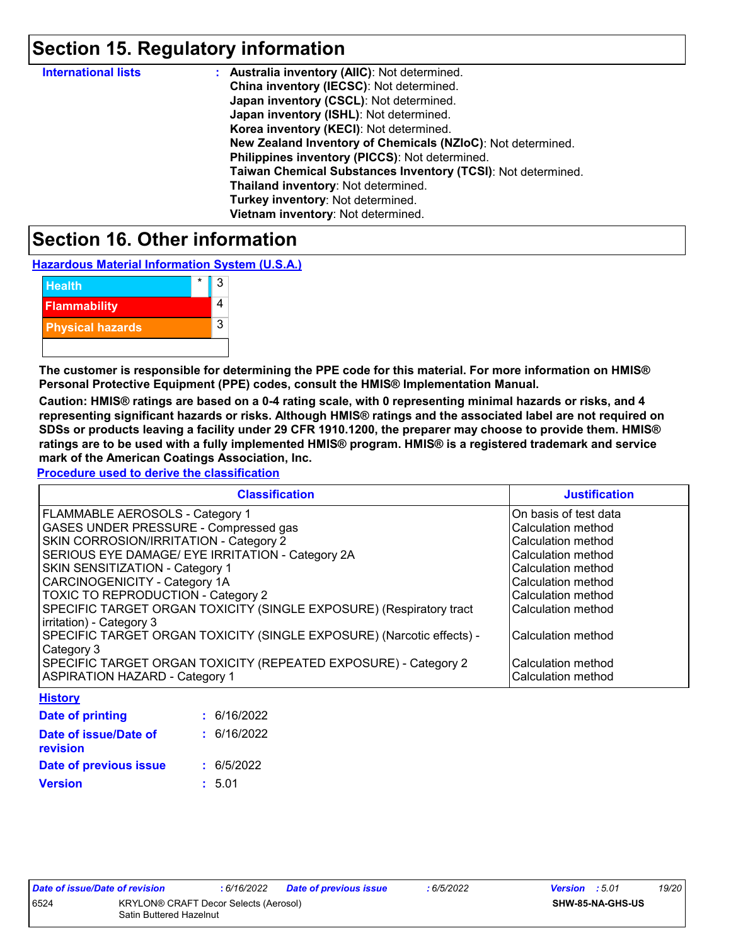### **Section 15. Regulatory information**

| <b>International lists</b> | : Australia inventory (AIIC): Not determined.                |
|----------------------------|--------------------------------------------------------------|
|                            | China inventory (IECSC): Not determined.                     |
|                            | Japan inventory (CSCL): Not determined.                      |
|                            | Japan inventory (ISHL): Not determined.                      |
|                            | Korea inventory (KECI): Not determined.                      |
|                            | New Zealand Inventory of Chemicals (NZIoC): Not determined.  |
|                            | Philippines inventory (PICCS): Not determined.               |
|                            | Taiwan Chemical Substances Inventory (TCSI): Not determined. |
|                            | Thailand inventory: Not determined.                          |
|                            | Turkey inventory: Not determined.                            |
|                            | Vietnam inventory: Not determined.                           |

### **Section 16. Other information**

**Hazardous Material Information System (U.S.A.)**

| <b>Health</b>           |  | ર |
|-------------------------|--|---|
| <b>Flammability</b>     |  |   |
| <b>Physical hazards</b> |  | 3 |
|                         |  |   |

**The customer is responsible for determining the PPE code for this material. For more information on HMIS® Personal Protective Equipment (PPE) codes, consult the HMIS® Implementation Manual.**

**Caution: HMIS® ratings are based on a 0-4 rating scale, with 0 representing minimal hazards or risks, and 4 representing significant hazards or risks. Although HMIS® ratings and the associated label are not required on SDSs or products leaving a facility under 29 CFR 1910.1200, the preparer may choose to provide them. HMIS® ratings are to be used with a fully implemented HMIS® program. HMIS® is a registered trademark and service mark of the American Coatings Association, Inc.**

**Procedure used to derive the classification**

| <b>Classification</b>                                                 | <b>Justification</b>  |
|-----------------------------------------------------------------------|-----------------------|
| <b>FLAMMABLE AEROSOLS - Category 1</b>                                | On basis of test data |
| GASES UNDER PRESSURE - Compressed gas                                 | Calculation method    |
| SKIN CORROSION/IRRITATION - Category 2                                | Calculation method    |
| SERIOUS EYE DAMAGE/ EYE IRRITATION - Category 2A                      | Calculation method    |
| <b>SKIN SENSITIZATION - Category 1</b>                                | Calculation method    |
| CARCINOGENICITY - Category 1A                                         | Calculation method    |
| <b>TOXIC TO REPRODUCTION - Category 2</b>                             | Calculation method    |
| SPECIFIC TARGET ORGAN TOXICITY (SINGLE EXPOSURE) (Respiratory tract   | Calculation method    |
| irritation) - Category 3                                              |                       |
| SPECIFIC TARGET ORGAN TOXICITY (SINGLE EXPOSURE) (Narcotic effects) - | Calculation method    |
| Category 3                                                            |                       |
| SPECIFIC TARGET ORGAN TOXICITY (REPEATED EXPOSURE) - Category 2       | Calculation method    |
| <b>ASPIRATION HAZARD - Category 1</b>                                 | Calculation method    |

**History**

| <b>Date of printing</b>           | : 6/16/2022 |
|-----------------------------------|-------------|
| Date of issue/Date of<br>revision | : 6/16/2022 |
| Date of previous issue            | : 6/5/2022  |
| Version                           | : 5.01      |